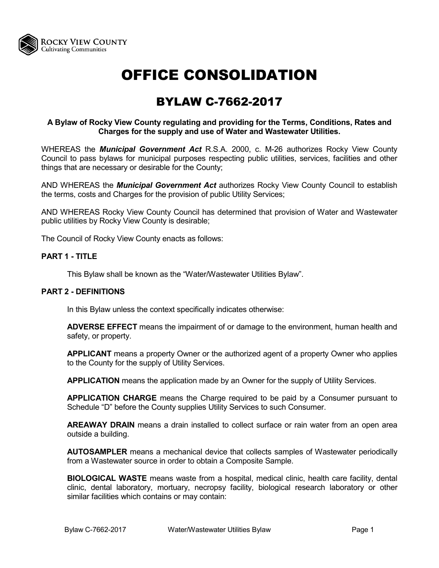

# OFFICE CONSOLIDATION

# BYLAW C-7662-2017

# **A Bylaw of Rocky View County regulating and providing for the Terms, Conditions, Rates and Charges for the supply and use of Water and Wastewater Utilities.**

WHEREAS the *Municipal Government Act* R.S.A. 2000, c. M-26 authorizes Rocky View County Council to pass bylaws for municipal purposes respecting public utilities, services, facilities and other things that are necessary or desirable for the County;

AND WHEREAS the *Municipal Government Act* authorizes Rocky View County Council to establish the terms, costs and Charges for the provision of public Utility Services;

AND WHEREAS Rocky View County Council has determined that provision of Water and Wastewater public utilities by Rocky View County is desirable;

The Council of Rocky View County enacts as follows:

# **PART 1 - TITLE**

This Bylaw shall be known as the "Water/Wastewater Utilities Bylaw".

#### **PART 2 - DEFINITIONS**

In this Bylaw unless the context specifically indicates otherwise:

**ADVERSE EFFECT** means the impairment of or damage to the environment, human health and safety, or property.

**APPLICANT** means a property Owner or the authorized agent of a property Owner who applies to the County for the supply of Utility Services.

**APPLICATION** means the application made by an Owner for the supply of Utility Services.

**APPLICATION CHARGE** means the Charge required to be paid by a Consumer pursuant to Schedule "D" before the County supplies Utility Services to such Consumer.

**AREAWAY DRAIN** means a drain installed to collect surface or rain water from an open area outside a building.

**AUTOSAMPLER** means a mechanical device that collects samples of Wastewater periodically from a Wastewater source in order to obtain a Composite Sample.

**BIOLOGICAL WASTE** means waste from a hospital, medical clinic, health care facility, dental clinic, dental laboratory, mortuary, necropsy facility, biological research laboratory or other similar facilities which contains or may contain: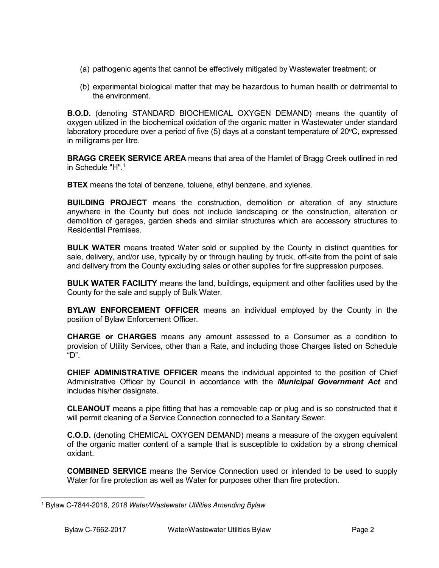- (a) pathogenic agents that cannot be effectively mitigated by Wastewater treatment; or
- (b) experimental biological matter that may be hazardous to human health or detrimental to the environment.

**B.O.D.** (denoting STANDARD BIOCHEMICAL OXYGEN DEMAND) means the quantity of oxygen utilized in the biochemical oxidation of the organic matter in Wastewater under standard laboratory procedure over a period of five (5) days at a constant temperature of 20°C, expressed in milligrams per litre.

**BRAGG CREEK SERVICE AREA** means that area of the Hamlet of Bragg Creek outlined in red in Schedule " $H$ ".<sup>[1](#page-1-0)</sup>

**BTEX** means the total of benzene, toluene, ethyl benzene, and xylenes.

**BUILDING PROJECT** means the construction, demolition or alteration of any structure anywhere in the County but does not include landscaping or the construction, alteration or demolition of garages, garden sheds and similar structures which are accessory structures to Residential Premises.

**BULK WATER** means treated Water sold or supplied by the County in distinct quantities for sale, delivery, and/or use, typically by or through hauling by truck, off-site from the point of sale and delivery from the County excluding sales or other supplies for fire suppression purposes.

**BULK WATER FACILITY** means the land, buildings, equipment and other facilities used by the County for the sale and supply of Bulk Water.

**BYLAW ENFORCEMENT OFFICER** means an individual employed by the County in the position of Bylaw Enforcement Officer.

**CHARGE or CHARGES** means any amount assessed to a Consumer as a condition to provision of Utility Services, other than a Rate, and including those Charges listed on Schedule "D".

**CHIEF ADMINISTRATIVE OFFICER** means the individual appointed to the position of Chief Administrative Officer by Council in accordance with the *Municipal Government Act* and includes his/her designate.

**CLEANOUT** means a pipe fitting that has a removable cap or plug and is so constructed that it will permit cleaning of a Service Connection connected to a Sanitary Sewer.

**C.O.D.** (denoting CHEMICAL OXYGEN DEMAND) means a measure of the oxygen equivalent of the organic matter content of a sample that is susceptible to oxidation by a strong chemical oxidant.

**COMBINED SERVICE** means the Service Connection used or intended to be used to supply Water for fire protection as well as Water for purposes other than fire protection.

<span id="page-1-0"></span> <sup>1</sup> Bylaw C-7844-2018, *2018 Water/Wastewater Utilities Amending Bylaw*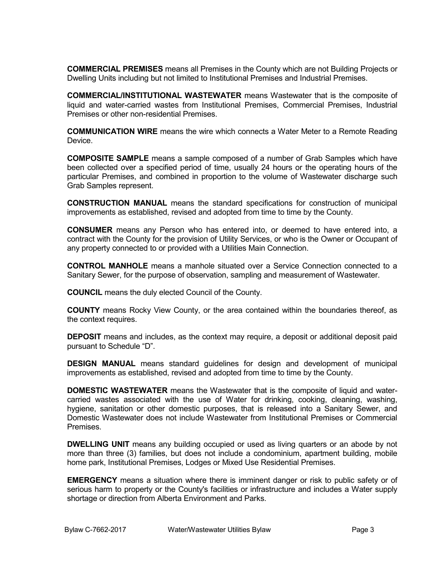**COMMERCIAL PREMISES** means all Premises in the County which are not Building Projects or Dwelling Units including but not limited to Institutional Premises and Industrial Premises.

**COMMERCIAL/INSTITUTIONAL WASTEWATER** means Wastewater that is the composite of liquid and water-carried wastes from Institutional Premises, Commercial Premises, Industrial Premises or other non-residential Premises.

**COMMUNICATION WIRE** means the wire which connects a Water Meter to a Remote Reading Device.

**COMPOSITE SAMPLE** means a sample composed of a number of Grab Samples which have been collected over a specified period of time, usually 24 hours or the operating hours of the particular Premises, and combined in proportion to the volume of Wastewater discharge such Grab Samples represent.

**CONSTRUCTION MANUAL** means the standard specifications for construction of municipal improvements as established, revised and adopted from time to time by the County.

**CONSUMER** means any Person who has entered into, or deemed to have entered into, a contract with the County for the provision of Utility Services, or who is the Owner or Occupant of any property connected to or provided with a Utilities Main Connection.

**CONTROL MANHOLE** means a manhole situated over a Service Connection connected to a Sanitary Sewer, for the purpose of observation, sampling and measurement of Wastewater.

**COUNCIL** means the duly elected Council of the County.

**COUNTY** means Rocky View County, or the area contained within the boundaries thereof, as the context requires.

**DEPOSIT** means and includes, as the context may require, a deposit or additional deposit paid pursuant to Schedule "D".

**DESIGN MANUAL** means standard guidelines for design and development of municipal improvements as established, revised and adopted from time to time by the County.

**DOMESTIC WASTEWATER** means the Wastewater that is the composite of liquid and watercarried wastes associated with the use of Water for drinking, cooking, cleaning, washing, hygiene, sanitation or other domestic purposes, that is released into a Sanitary Sewer, and Domestic Wastewater does not include Wastewater from Institutional Premises or Commercial **Premises** 

**DWELLING UNIT** means any building occupied or used as living quarters or an abode by not more than three (3) families, but does not include a condominium, apartment building, mobile home park, Institutional Premises, Lodges or Mixed Use Residential Premises.

**EMERGENCY** means a situation where there is imminent danger or risk to public safety or of serious harm to property or the County's facilities or infrastructure and includes a Water supply shortage or direction from Alberta Environment and Parks.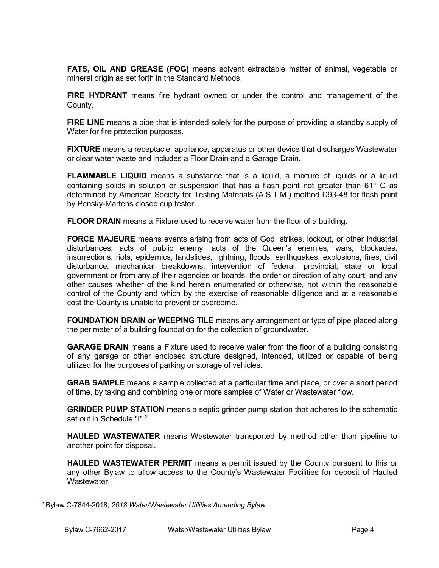**FATS, OIL AND GREASE (FOG)** means solvent extractable matter of animal, vegetable or mineral origin as set forth in the Standard Methods.

**FIRE HYDRANT** means fire hydrant owned or under the control and management of the County.

**FIRE LINE** means a pipe that is intended solely for the purpose of providing a standby supply of Water for fire protection purposes.

**FIXTURE** means a receptacle, appliance, apparatus or other device that discharges Wastewater or clear water waste and includes a Floor Drain and a Garage Drain.

**FLAMMABLE LIQUID** means a substance that is a liquid, a mixture of liquids or a liquid containing solids in solution or suspension that has a flash point not greater than 61° C as determined by American Society for Testing Materials (A.S.T.M.) method D93-48 for flash point by Pensky-Martens closed cup tester.

**FLOOR DRAIN** means a Fixture used to receive water from the floor of a building.

**FORCE MAJEURE** means events arising from acts of God, strikes, lockout, or other industrial disturbances, acts of public enemy, acts of the Queen's enemies, wars, blockades, insurrections, riots, epidemics, landslides, lightning, floods, earthquakes, explosions, fires, civil disturbance, mechanical breakdowns, intervention of federal, provincial, state or local government or from any of their agencies or boards, the order or direction of any court, and any other causes whether of the kind herein enumerated or otherwise, not within the reasonable control of the County and which by the exercise of reasonable diligence and at a reasonable cost the County is unable to prevent or overcome.

**FOUNDATION DRAIN or WEEPING TILE** means any arrangement or type of pipe placed along the perimeter of a building foundation for the collection of groundwater.

**GARAGE DRAIN** means a Fixture used to receive water from the floor of a building consisting of any garage or other enclosed structure designed, intended, utilized or capable of being utilized for the purposes of parking or storage of vehicles.

**GRAB SAMPLE** means a sample collected at a particular time and place, or over a short period of time, by taking and combining one or more samples of Water or Wastewater flow.

**GRINDER PUMP STATION** means a septic grinder pump station that adheres to the schematic set out in Schedule "I".<sup>[2](#page-3-0)</sup>

**HAULED WASTEWATER** means Wastewater transported by method other than pipeline to another point for disposal.

**HAULED WASTEWATER PERMIT** means a permit issued by the County pursuant to this or any other Bylaw to allow access to the County's Wastewater Facilities for deposit of Hauled Wastewater.

<span id="page-3-0"></span> <sup>2</sup> Bylaw C-7844-2018, *2018 Water/Wastewater Utilities Amending Bylaw*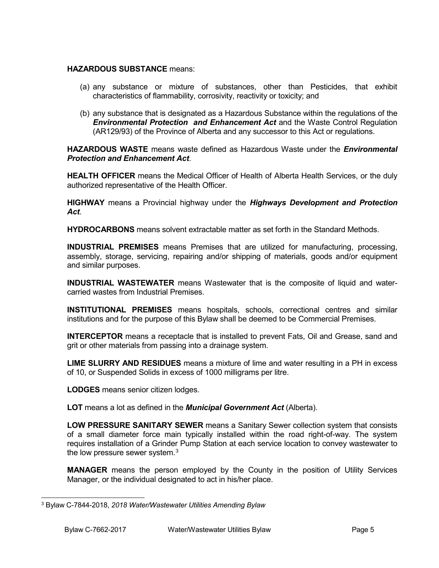# **HAZARDOUS SUBSTANCE** means:

- (a) any substance or mixture of substances, other than Pesticides, that exhibit characteristics of flammability, corrosivity, reactivity or toxicity; and
- (b) any substance that is designated as a Hazardous Substance within the regulations of the *Environmental Protection and Enhancement Act* and the Waste Control Regulation (AR129/93) of the Province of Alberta and any successor to this Act or regulations.

**HAZARDOUS WASTE** means waste defined as Hazardous Waste under the *Environmental Protection and Enhancement Act*.

**HEALTH OFFICER** means the Medical Officer of Health of Alberta Health Services, or the duly authorized representative of the Health Officer.

**HIGHWAY** means a Provincial highway under the *Highways Development and Protection Act*.

**HYDROCARBONS** means solvent extractable matter as set forth in the Standard Methods.

**INDUSTRIAL PREMISES** means Premises that are utilized for manufacturing, processing, assembly, storage, servicing, repairing and/or shipping of materials, goods and/or equipment and similar purposes.

**INDUSTRIAL WASTEWATER** means Wastewater that is the composite of liquid and watercarried wastes from Industrial Premises.

**INSTITUTIONAL PREMISES** means hospitals, schools, correctional centres and similar institutions and for the purpose of this Bylaw shall be deemed to be Commercial Premises.

**INTERCEPTOR** means a receptacle that is installed to prevent Fats, Oil and Grease, sand and grit or other materials from passing into a drainage system.

**LIME SLURRY AND RESIDUES** means a mixture of lime and water resulting in a PH in excess of 10, or Suspended Solids in excess of 1000 milligrams per litre.

**LODGES** means senior citizen lodges.

**LOT** means a lot as defined in the *Municipal Government Act* (Alberta).

**LOW PRESSURE SANITARY SEWER** means a Sanitary Sewer collection system that consists of a small diameter force main typically installed within the road right-of-way. The system requires installation of a Grinder Pump Station at each service location to convey wastewater to the low pressure sewer system.<sup>[3](#page-4-0)</sup>

**MANAGER** means the person employed by the County in the position of Utility Services Manager, or the individual designated to act in his/her place.

<span id="page-4-0"></span> <sup>3</sup> Bylaw C-7844-2018, *2018 Water/Wastewater Utilities Amending Bylaw*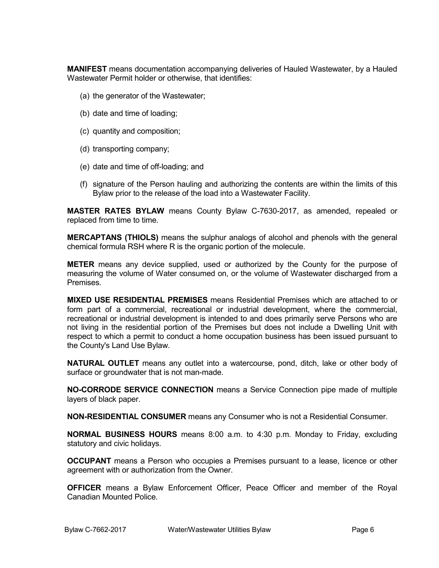**MANIFEST** means documentation accompanying deliveries of Hauled Wastewater, by a Hauled Wastewater Permit holder or otherwise, that identifies:

- (a) the generator of the Wastewater;
- (b) date and time of loading;
- (c) quantity and composition;
- (d) transporting company;
- (e) date and time of off-loading; and
- (f) signature of the Person hauling and authorizing the contents are within the limits of this Bylaw prior to the release of the load into a Wastewater Facility.

**MASTER RATES BYLAW** means County Bylaw C-7630-2017, as amended, repealed or replaced from time to time.

**MERCAPTANS (THIOLS)** means the sulphur analogs of alcohol and phenols with the general chemical formula RSH where R is the organic portion of the molecule.

**METER** means any device supplied, used or authorized by the County for the purpose of measuring the volume of Water consumed on, or the volume of Wastewater discharged from a **Premises** 

**MIXED USE RESIDENTIAL PREMISES** means Residential Premises which are attached to or form part of a commercial, recreational or industrial development, where the commercial, recreational or industrial development is intended to and does primarily serve Persons who are not living in the residential portion of the Premises but does not include a Dwelling Unit with respect to which a permit to conduct a home occupation business has been issued pursuant to the County's Land Use Bylaw.

**NATURAL OUTLET** means any outlet into a watercourse, pond, ditch, lake or other body of surface or groundwater that is not man-made.

**NO-CORRODE SERVICE CONNECTION** means a Service Connection pipe made of multiple layers of black paper.

**NON-RESIDENTIAL CONSUMER** means any Consumer who is not a Residential Consumer.

**NORMAL BUSINESS HOURS** means 8:00 a.m. to 4:30 p.m. Monday to Friday, excluding statutory and civic holidays.

**OCCUPANT** means a Person who occupies a Premises pursuant to a lease, licence or other agreement with or authorization from the Owner.

**OFFICER** means a Bylaw Enforcement Officer, Peace Officer and member of the Royal Canadian Mounted Police.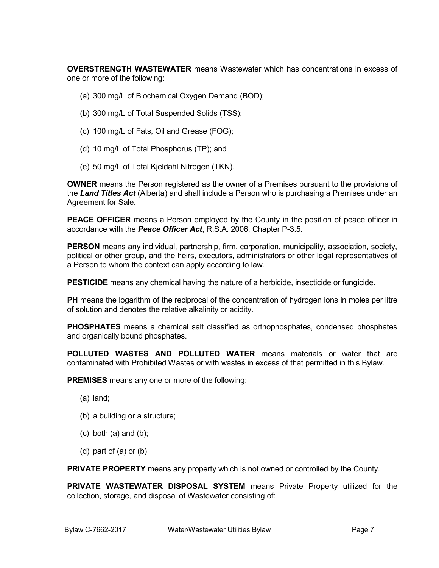**OVERSTRENGTH WASTEWATER** means Wastewater which has concentrations in excess of one or more of the following:

- (a) 300 mg/L of Biochemical Oxygen Demand (BOD);
- (b) 300 mg/L of Total Suspended Solids (TSS);
- (c) 100 mg/L of Fats, Oil and Grease (FOG);
- (d) 10 mg/L of Total Phosphorus (TP); and
- (e) 50 mg/L of Total Kjeldahl Nitrogen (TKN).

**OWNER** means the Person registered as the owner of a Premises pursuant to the provisions of the *Land Titles Act* (Alberta) and shall include a Person who is purchasing a Premises under an Agreement for Sale.

**PEACE OFFICER** means a Person employed by the County in the position of peace officer in accordance with the *Peace Officer Act*, R.S.A. 2006, Chapter P-3.5.

**PERSON** means any individual, partnership, firm, corporation, municipality, association, society, political or other group, and the heirs, executors, administrators or other legal representatives of a Person to whom the context can apply according to law.

**PESTICIDE** means any chemical having the nature of a herbicide, insecticide or fungicide.

**PH** means the logarithm of the reciprocal of the concentration of hydrogen ions in moles per litre of solution and denotes the relative alkalinity or acidity.

**PHOSPHATES** means a chemical salt classified as orthophosphates, condensed phosphates and organically bound phosphates.

**POLLUTED WASTES AND POLLUTED WATER** means materials or water that are contaminated with Prohibited Wastes or with wastes in excess of that permitted in this Bylaw.

**PREMISES** means any one or more of the following:

- (a) land;
- (b) a building or a structure;
- $(c)$  both  $(a)$  and  $(b)$ ;
- (d) part of (a) or (b)

**PRIVATE PROPERTY** means any property which is not owned or controlled by the County.

**PRIVATE WASTEWATER DISPOSAL SYSTEM** means Private Property utilized for the collection, storage, and disposal of Wastewater consisting of: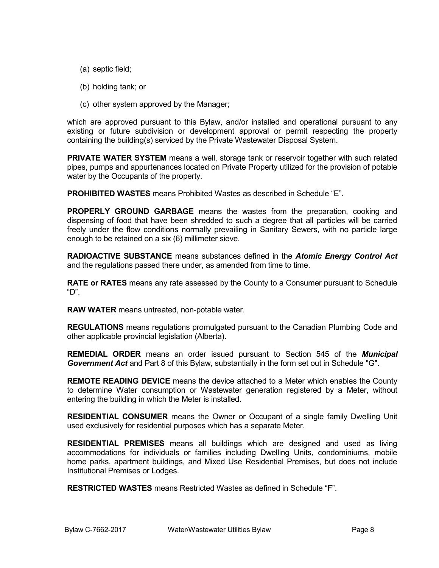- (a) septic field;
- (b) holding tank; or
- (c) other system approved by the Manager;

which are approved pursuant to this Bylaw, and/or installed and operational pursuant to any existing or future subdivision or development approval or permit respecting the property containing the building(s) serviced by the Private Wastewater Disposal System.

**PRIVATE WATER SYSTEM** means a well, storage tank or reservoir together with such related pipes, pumps and appurtenances located on Private Property utilized for the provision of potable water by the Occupants of the property.

**PROHIBITED WASTES** means Prohibited Wastes as described in Schedule "E".

**PROPERLY GROUND GARBAGE** means the wastes from the preparation, cooking and dispensing of food that have been shredded to such a degree that all particles will be carried freely under the flow conditions normally prevailing in Sanitary Sewers, with no particle large enough to be retained on a six (6) millimeter sieve.

**RADIOACTIVE SUBSTANCE** means substances defined in the *Atomic Energy Control Act* and the regulations passed there under, as amended from time to time.

**RATE or RATES** means any rate assessed by the County to a Consumer pursuant to Schedule "D".

**RAW WATER** means untreated, non-potable water.

**REGULATIONS** means regulations promulgated pursuant to the Canadian Plumbing Code and other applicable provincial legislation (Alberta).

**REMEDIAL ORDER** means an order issued pursuant to Section 545 of the *Municipal Government Act* and Part 8 of this Bylaw, substantially in the form set out in Schedule "G".

**REMOTE READING DEVICE** means the device attached to a Meter which enables the County to determine Water consumption or Wastewater generation registered by a Meter, without entering the building in which the Meter is installed.

**RESIDENTIAL CONSUMER** means the Owner or Occupant of a single family Dwelling Unit used exclusively for residential purposes which has a separate Meter.

**RESIDENTIAL PREMISES** means all buildings which are designed and used as living accommodations for individuals or families including Dwelling Units, condominiums, mobile home parks, apartment buildings, and Mixed Use Residential Premises, but does not include Institutional Premises or Lodges.

**RESTRICTED WASTES** means Restricted Wastes as defined in Schedule "F".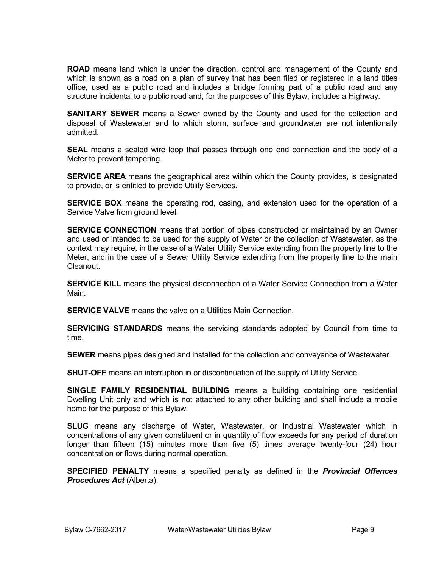**ROAD** means land which is under the direction, control and management of the County and which is shown as a road on a plan of survey that has been filed or registered in a land titles office, used as a public road and includes a bridge forming part of a public road and any structure incidental to a public road and, for the purposes of this Bylaw, includes a Highway.

**SANITARY SEWER** means a Sewer owned by the County and used for the collection and disposal of Wastewater and to which storm, surface and groundwater are not intentionally admitted.

**SEAL** means a sealed wire loop that passes through one end connection and the body of a Meter to prevent tampering.

**SERVICE AREA** means the geographical area within which the County provides, is designated to provide, or is entitled to provide Utility Services.

**SERVICE BOX** means the operating rod, casing, and extension used for the operation of a Service Valve from ground level.

**SERVICE CONNECTION** means that portion of pipes constructed or maintained by an Owner and used or intended to be used for the supply of Water or the collection of Wastewater, as the context may require, in the case of a Water Utility Service extending from the property line to the Meter, and in the case of a Sewer Utility Service extending from the property line to the main Cleanout.

**SERVICE KILL** means the physical disconnection of a Water Service Connection from a Water Main.

**SERVICE VALVE** means the valve on a Utilities Main Connection.

**SERVICING STANDARDS** means the servicing standards adopted by Council from time to time.

**SEWER** means pipes designed and installed for the collection and conveyance of Wastewater.

**SHUT-OFF** means an interruption in or discontinuation of the supply of Utility Service.

**SINGLE FAMILY RESIDENTIAL BUILDING** means a building containing one residential Dwelling Unit only and which is not attached to any other building and shall include a mobile home for the purpose of this Bylaw.

**SLUG** means any discharge of Water, Wastewater, or Industrial Wastewater which in concentrations of any given constituent or in quantity of flow exceeds for any period of duration longer than fifteen (15) minutes more than five (5) times average twenty-four (24) hour concentration or flows during normal operation.

**SPECIFIED PENALTY** means a specified penalty as defined in the *Provincial Offences Procedures Act* (Alberta).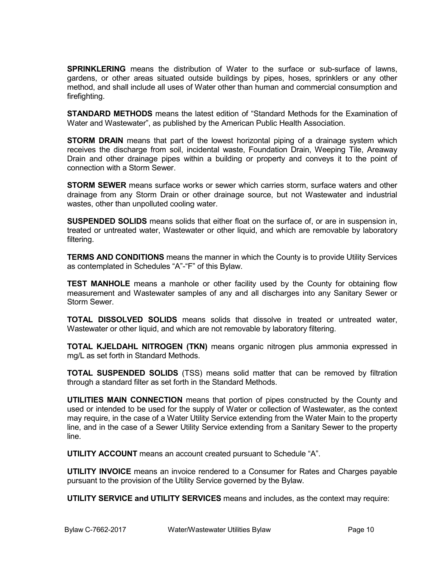**SPRINKLERING** means the distribution of Water to the surface or sub-surface of lawns, gardens, or other areas situated outside buildings by pipes, hoses, sprinklers or any other method, and shall include all uses of Water other than human and commercial consumption and firefighting.

**STANDARD METHODS** means the latest edition of "Standard Methods for the Examination of Water and Wastewater", as published by the American Public Health Association.

**STORM DRAIN** means that part of the lowest horizontal piping of a drainage system which receives the discharge from soil, incidental waste, Foundation Drain, Weeping Tile, Areaway Drain and other drainage pipes within a building or property and conveys it to the point of connection with a Storm Sewer.

**STORM SEWER** means surface works or sewer which carries storm, surface waters and other drainage from any Storm Drain or other drainage source, but not Wastewater and industrial wastes, other than unpolluted cooling water.

**SUSPENDED SOLIDS** means solids that either float on the surface of, or are in suspension in, treated or untreated water, Wastewater or other liquid, and which are removable by laboratory filtering.

**TERMS AND CONDITIONS** means the manner in which the County is to provide Utility Services as contemplated in Schedules "A"-"F" of this Bylaw.

**TEST MANHOLE** means a manhole or other facility used by the County for obtaining flow measurement and Wastewater samples of any and all discharges into any Sanitary Sewer or Storm Sewer.

**TOTAL DISSOLVED SOLIDS** means solids that dissolve in treated or untreated water, Wastewater or other liquid, and which are not removable by laboratory filtering.

**TOTAL KJELDAHL NITROGEN (TKN)** means organic nitrogen plus ammonia expressed in mg/L as set forth in Standard Methods.

**TOTAL SUSPENDED SOLIDS** (TSS) means solid matter that can be removed by filtration through a standard filter as set forth in the Standard Methods.

**UTILITIES MAIN CONNECTION** means that portion of pipes constructed by the County and used or intended to be used for the supply of Water or collection of Wastewater, as the context may require, in the case of a Water Utility Service extending from the Water Main to the property line, and in the case of a Sewer Utility Service extending from a Sanitary Sewer to the property line.

**UTILITY ACCOUNT** means an account created pursuant to Schedule "A".

**UTILITY INVOICE** means an invoice rendered to a Consumer for Rates and Charges payable pursuant to the provision of the Utility Service governed by the Bylaw.

**UTILITY SERVICE and UTILITY SERVICES** means and includes, as the context may require: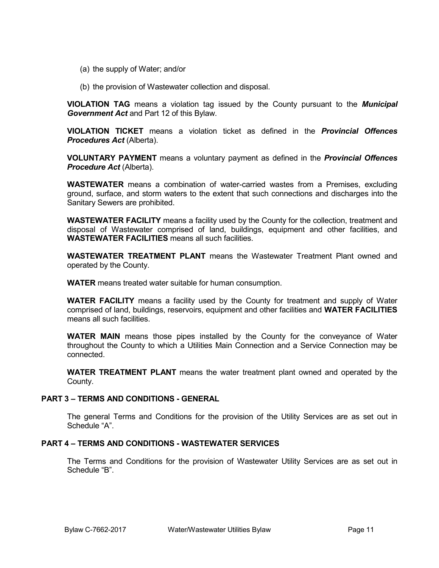- (a) the supply of Water; and/or
- (b) the provision of Wastewater collection and disposal.

**VIOLATION TAG** means a violation tag issued by the County pursuant to the *Municipal Government Act* and Part 12 of this Bylaw.

**VIOLATION TICKET** means a violation ticket as defined in the *Provincial Offences Procedures Act* (Alberta).

**VOLUNTARY PAYMENT** means a voluntary payment as defined in the *Provincial Offences Procedure Act* (Alberta).

**WASTEWATER** means a combination of water-carried wastes from a Premises, excluding ground, surface, and storm waters to the extent that such connections and discharges into the Sanitary Sewers are prohibited.

**WASTEWATER FACILITY** means a facility used by the County for the collection, treatment and disposal of Wastewater comprised of land, buildings, equipment and other facilities, and **WASTEWATER FACILITIES** means all such facilities.

**WASTEWATER TREATMENT PLANT** means the Wastewater Treatment Plant owned and operated by the County.

**WATER** means treated water suitable for human consumption.

**WATER FACILITY** means a facility used by the County for treatment and supply of Water comprised of land, buildings, reservoirs, equipment and other facilities and **WATER FACILITIES** means all such facilities.

**WATER MAIN** means those pipes installed by the County for the conveyance of Water throughout the County to which a Utilities Main Connection and a Service Connection may be connected.

**WATER TREATMENT PLANT** means the water treatment plant owned and operated by the County.

#### **PART 3 – TERMS AND CONDITIONS - GENERAL**

The general Terms and Conditions for the provision of the Utility Services are as set out in Schedule "A".

# **PART 4 – TERMS AND CONDITIONS - WASTEWATER SERVICES**

The Terms and Conditions for the provision of Wastewater Utility Services are as set out in Schedule "B".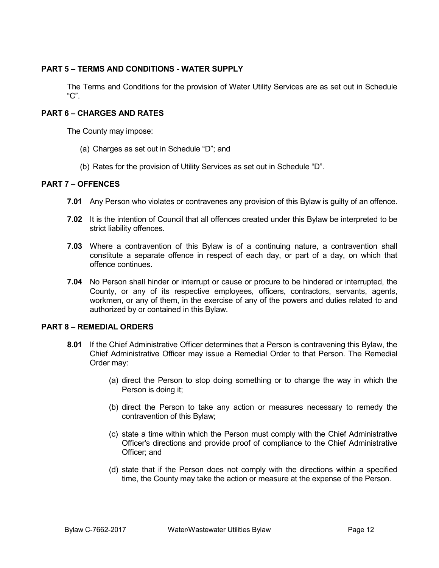# **PART 5 – TERMS AND CONDITIONS - WATER SUPPLY**

The Terms and Conditions for the provision of Water Utility Services are as set out in Schedule "C".

# **PART 6 – CHARGES AND RATES**

The County may impose:

- (a) Charges as set out in Schedule "D"; and
- (b) Rates for the provision of Utility Services as set out in Schedule "D".

# **PART 7 – OFFENCES**

- **7.01** Any Person who violates or contravenes any provision of this Bylaw is guilty of an offence.
- **7.02** It is the intention of Council that all offences created under this Bylaw be interpreted to be strict liability offences.
- **7.03** Where a contravention of this Bylaw is of a continuing nature, a contravention shall constitute a separate offence in respect of each day, or part of a day, on which that offence continues.
- **7.04** No Person shall hinder or interrupt or cause or procure to be hindered or interrupted, the County, or any of its respective employees, officers, contractors, servants, agents, workmen, or any of them, in the exercise of any of the powers and duties related to and authorized by or contained in this Bylaw.

# **PART 8 – REMEDIAL ORDERS**

- **8.01** If the Chief Administrative Officer determines that a Person is contravening this Bylaw, the Chief Administrative Officer may issue a Remedial Order to that Person. The Remedial Order may:
	- (a) direct the Person to stop doing something or to change the way in which the Person is doing it;
	- (b) direct the Person to take any action or measures necessary to remedy the contravention of this Bylaw;
	- (c) state a time within which the Person must comply with the Chief Administrative Officer's directions and provide proof of compliance to the Chief Administrative Officer; and
	- (d) state that if the Person does not comply with the directions within a specified time, the County may take the action or measure at the expense of the Person.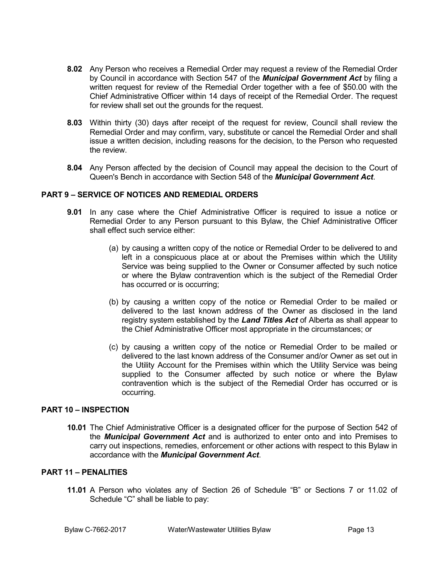- **8.02** Any Person who receives a Remedial Order may request a review of the Remedial Order by Council in accordance with Section 547 of the *Municipal Government Act* by filing a written request for review of the Remedial Order together with a fee of \$50.00 with the Chief Administrative Officer within 14 days of receipt of the Remedial Order. The request for review shall set out the grounds for the request.
- **8.03** Within thirty (30) days after receipt of the request for review, Council shall review the Remedial Order and may confirm, vary, substitute or cancel the Remedial Order and shall issue a written decision, including reasons for the decision, to the Person who requested the review.
- **8.04** Any Person affected by the decision of Council may appeal the decision to the Court of Queen's Bench in accordance with Section 548 of the *Municipal Government Act*.

# **PART 9 – SERVICE OF NOTICES AND REMEDIAL ORDERS**

- **9.01** In any case where the Chief Administrative Officer is required to issue a notice or Remedial Order to any Person pursuant to this Bylaw, the Chief Administrative Officer shall effect such service either:
	- (a) by causing a written copy of the notice or Remedial Order to be delivered to and left in a conspicuous place at or about the Premises within which the Utility Service was being supplied to the Owner or Consumer affected by such notice or where the Bylaw contravention which is the subject of the Remedial Order has occurred or is occurring;
	- (b) by causing a written copy of the notice or Remedial Order to be mailed or delivered to the last known address of the Owner as disclosed in the land registry system established by the *Land Titles Act* of Alberta as shall appear to the Chief Administrative Officer most appropriate in the circumstances; or
	- (c) by causing a written copy of the notice or Remedial Order to be mailed or delivered to the last known address of the Consumer and/or Owner as set out in the Utility Account for the Premises within which the Utility Service was being supplied to the Consumer affected by such notice or where the Bylaw contravention which is the subject of the Remedial Order has occurred or is occurring.

#### **PART 10 – INSPECTION**

**10.01** The Chief Administrative Officer is a designated officer for the purpose of Section 542 of the *Municipal Government Act* and is authorized to enter onto and into Premises to carry out inspections, remedies, enforcement or other actions with respect to this Bylaw in accordance with the *Municipal Government Act*.

#### **PART 11 – PENALITIES**

**11.01** A Person who violates any of Section 26 of Schedule "B" or Sections 7 or 11.02 of Schedule "C" shall be liable to pay: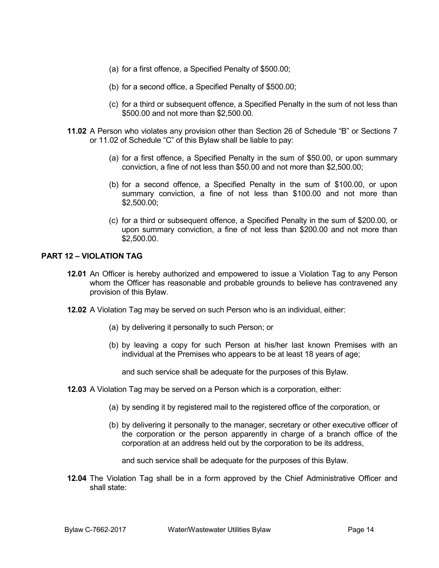- (a) for a first offence, a Specified Penalty of \$500.00;
- (b) for a second office, a Specified Penalty of \$500.00;
- (c) for a third or subsequent offence, a Specified Penalty in the sum of not less than \$500.00 and not more than \$2,500.00.
- **11.02** A Person who violates any provision other than Section 26 of Schedule "B" or Sections 7 or 11.02 of Schedule "C" of this Bylaw shall be liable to pay:
	- (a) for a first offence, a Specified Penalty in the sum of \$50.00, or upon summary conviction, a fine of not less than \$50.00 and not more than \$2,500.00;
	- (b) for a second offence, a Specified Penalty in the sum of \$100.00, or upon summary conviction, a fine of not less than \$100.00 and not more than \$2,500.00;
	- (c) for a third or subsequent offence, a Specified Penalty in the sum of \$200.00, or upon summary conviction, a fine of not less than \$200.00 and not more than \$2,500.00.

# **PART 12 – VIOLATION TAG**

- **12.01** An Officer is hereby authorized and empowered to issue a Violation Tag to any Person whom the Officer has reasonable and probable grounds to believe has contravened any provision of this Bylaw.
- **12.02** A Violation Tag may be served on such Person who is an individual, either:
	- (a) by delivering it personally to such Person; or
	- (b) by leaving a copy for such Person at his/her last known Premises with an individual at the Premises who appears to be at least 18 years of age;
		- and such service shall be adequate for the purposes of this Bylaw.
- **12.03** A Violation Tag may be served on a Person which is a corporation, either:
	- (a) by sending it by registered mail to the registered office of the corporation, or
	- (b) by delivering it personally to the manager, secretary or other executive officer of the corporation or the person apparently in charge of a branch office of the corporation at an address held out by the corporation to be its address,

and such service shall be adequate for the purposes of this Bylaw.

**12.04** The Violation Tag shall be in a form approved by the Chief Administrative Officer and shall state: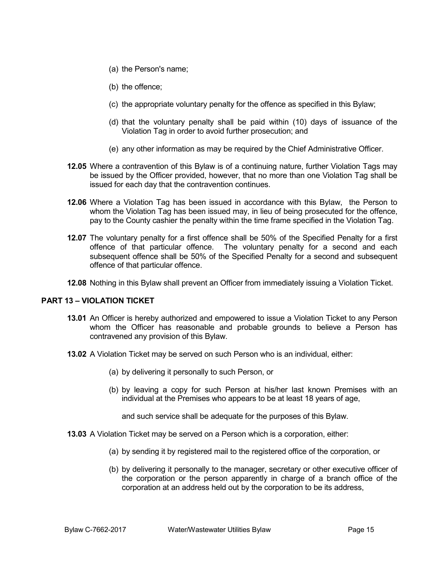- (a) the Person's name;
- (b) the offence;
- (c) the appropriate voluntary penalty for the offence as specified in this Bylaw;
- (d) that the voluntary penalty shall be paid within (10) days of issuance of the Violation Tag in order to avoid further prosecution; and
- (e) any other information as may be required by the Chief Administrative Officer.
- **12.05** Where a contravention of this Bylaw is of a continuing nature, further Violation Tags may be issued by the Officer provided, however, that no more than one Violation Tag shall be issued for each day that the contravention continues.
- **12.06** Where a Violation Tag has been issued in accordance with this Bylaw, the Person to whom the Violation Tag has been issued may, in lieu of being prosecuted for the offence, pay to the County cashier the penalty within the time frame specified in the Violation Tag.
- **12.07** The voluntary penalty for a first offence shall be 50% of the Specified Penalty for a first offence of that particular offence. The voluntary penalty for a second and each subsequent offence shall be 50% of the Specified Penalty for a second and subsequent offence of that particular offence.
- **12.08** Nothing in this Bylaw shall prevent an Officer from immediately issuing a Violation Ticket.

# **PART 13 – VIOLATION TICKET**

- **13.01** An Officer is hereby authorized and empowered to issue a Violation Ticket to any Person whom the Officer has reasonable and probable grounds to believe a Person has contravened any provision of this Bylaw.
- **13.02** A Violation Ticket may be served on such Person who is an individual, either:
	- (a) by delivering it personally to such Person, or
	- (b) by leaving a copy for such Person at his/her last known Premises with an individual at the Premises who appears to be at least 18 years of age,

and such service shall be adequate for the purposes of this Bylaw.

- **13.03** A Violation Ticket may be served on a Person which is a corporation, either:
	- (a) by sending it by registered mail to the registered office of the corporation, or
	- (b) by delivering it personally to the manager, secretary or other executive officer of the corporation or the person apparently in charge of a branch office of the corporation at an address held out by the corporation to be its address,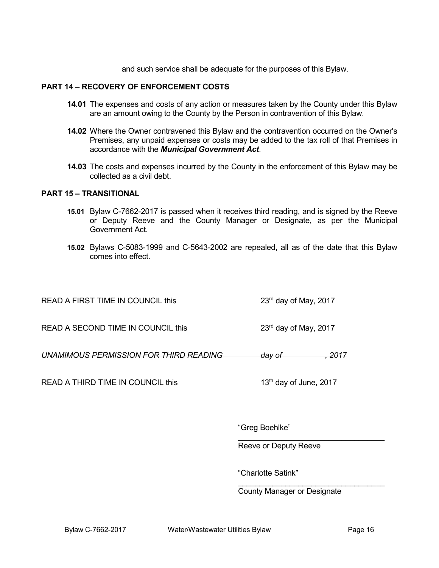and such service shall be adequate for the purposes of this Bylaw.

#### **PART 14 – RECOVERY OF ENFORCEMENT COSTS**

- **14.01** The expenses and costs of any action or measures taken by the County under this Bylaw are an amount owing to the County by the Person in contravention of this Bylaw.
- **14.02** Where the Owner contravened this Bylaw and the contravention occurred on the Owner's Premises, any unpaid expenses or costs may be added to the tax roll of that Premises in accordance with the *Municipal Government Act*.
- **14.03** The costs and expenses incurred by the County in the enforcement of this Bylaw may be collected as a civil debt.

#### **PART 15 – TRANSITIONAL**

- **15.01** Bylaw C-7662-2017 is passed when it receives third reading, and is signed by the Reeve or Deputy Reeve and the County Manager or Designate, as per the Municipal Government Act.
- **15.02** Bylaws C-5083-1999 and C-5643-2002 are repealed, all as of the date that this Bylaw comes into effect.

| READ A FIRST TIME IN COUNCIL this  | $23rd$ day of May, 2017 |
|------------------------------------|-------------------------|
| READ A SECOND TIME IN COUNCIL this | $23rd$ day of May, 2017 |

*UNAMIMOUS PERMISSION FOR THIRD READING day of , 2017*

READ A THIRD TIME IN COUNCIL this 13<sup>th</sup> day of June, 2017

"Greg Boehlke"

\_\_\_\_\_\_\_\_\_\_\_\_\_\_\_\_\_\_\_\_\_\_\_\_\_\_\_\_\_\_\_\_\_\_ Reeve or Deputy Reeve

"Charlotte Satink"

 $\overline{\phantom{a}}$  , and the set of the set of the set of the set of the set of the set of the set of the set of the set of the set of the set of the set of the set of the set of the set of the set of the set of the set of the s County Manager or Designate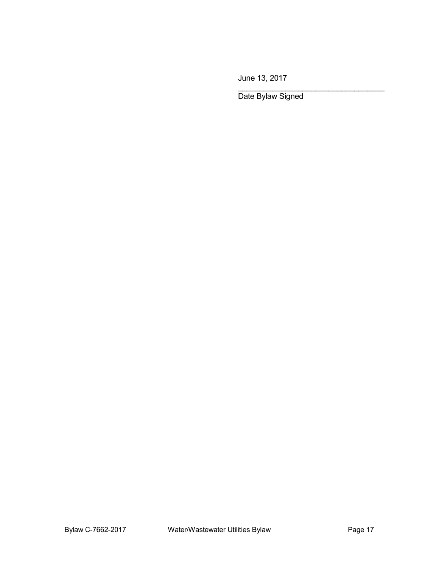June 13, 2017

Date Bylaw Signed

\_\_\_\_\_\_\_\_\_\_\_\_\_\_\_\_\_\_\_\_\_\_\_\_\_\_\_\_\_\_\_\_\_\_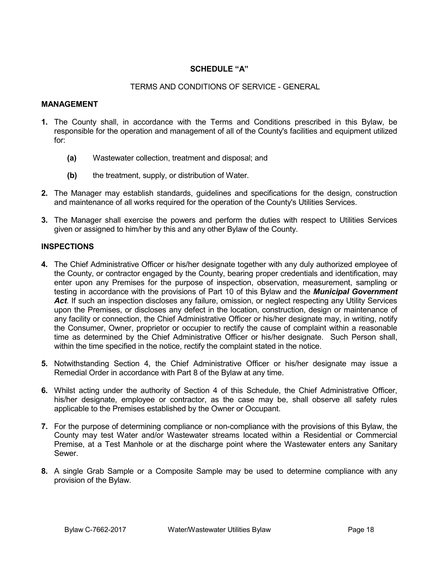# **SCHEDULE "A"**

## TERMS AND CONDITIONS OF SERVICE - GENERAL

#### **MANAGEMENT**

- **1.** The County shall, in accordance with the Terms and Conditions prescribed in this Bylaw, be responsible for the operation and management of all of the County's facilities and equipment utilized for:
	- **(a)** Wastewater collection, treatment and disposal; and
	- **(b)** the treatment, supply, or distribution of Water.
- **2.** The Manager may establish standards, guidelines and specifications for the design, construction and maintenance of all works required for the operation of the County's Utilities Services.
- **3.** The Manager shall exercise the powers and perform the duties with respect to Utilities Services given or assigned to him/her by this and any other Bylaw of the County.

#### **INSPECTIONS**

- **4.** The Chief Administrative Officer or his/her designate together with any duly authorized employee of the County, or contractor engaged by the County, bearing proper credentials and identification, may enter upon any Premises for the purpose of inspection, observation, measurement, sampling or testing in accordance with the provisions of Part 10 of this Bylaw and the *Municipal Government Act*. If such an inspection discloses any failure, omission, or neglect respecting any Utility Services upon the Premises, or discloses any defect in the location, construction, design or maintenance of any facility or connection, the Chief Administrative Officer or his/her designate may, in writing, notify the Consumer, Owner, proprietor or occupier to rectify the cause of complaint within a reasonable time as determined by the Chief Administrative Officer or his/her designate. Such Person shall, within the time specified in the notice, rectify the complaint stated in the notice.
- **5.** Notwithstanding Section 4, the Chief Administrative Officer or his/her designate may issue a Remedial Order in accordance with Part 8 of the Bylaw at any time.
- **6.** Whilst acting under the authority of Section 4 of this Schedule, the Chief Administrative Officer, his/her designate, employee or contractor, as the case may be, shall observe all safety rules applicable to the Premises established by the Owner or Occupant.
- **7.** For the purpose of determining compliance or non-compliance with the provisions of this Bylaw, the County may test Water and/or Wastewater streams located within a Residential or Commercial Premise, at a Test Manhole or at the discharge point where the Wastewater enters any Sanitary Sewer.
- **8.** A single Grab Sample or a Composite Sample may be used to determine compliance with any provision of the Bylaw.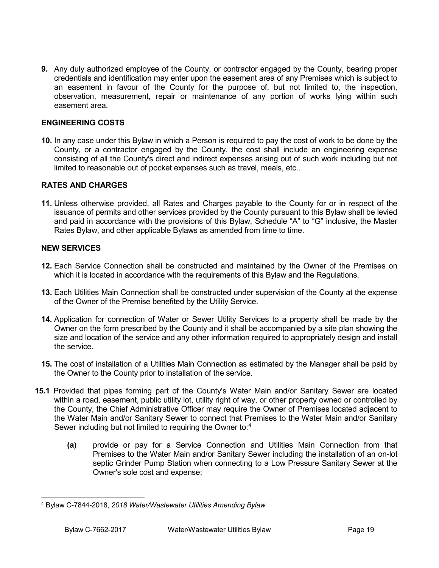**9.** Any duly authorized employee of the County, or contractor engaged by the County, bearing proper credentials and identification may enter upon the easement area of any Premises which is subject to an easement in favour of the County for the purpose of, but not limited to, the inspection, observation, measurement, repair or maintenance of any portion of works lying within such easement area.

# **ENGINEERING COSTS**

**10.** In any case under this Bylaw in which a Person is required to pay the cost of work to be done by the County, or a contractor engaged by the County, the cost shall include an engineering expense consisting of all the County's direct and indirect expenses arising out of such work including but not limited to reasonable out of pocket expenses such as travel, meals, etc..

# **RATES AND CHARGES**

**11.** Unless otherwise provided, all Rates and Charges payable to the County for or in respect of the issuance of permits and other services provided by the County pursuant to this Bylaw shall be levied and paid in accordance with the provisions of this Bylaw, Schedule "A" to "G" inclusive, the Master Rates Bylaw, and other applicable Bylaws as amended from time to time.

#### **NEW SERVICES**

- **12.** Each Service Connection shall be constructed and maintained by the Owner of the Premises on which it is located in accordance with the requirements of this Bylaw and the Regulations.
- **13.** Each Utilities Main Connection shall be constructed under supervision of the County at the expense of the Owner of the Premise benefited by the Utility Service.
- **14.** Application for connection of Water or Sewer Utility Services to a property shall be made by the Owner on the form prescribed by the County and it shall be accompanied by a site plan showing the size and location of the service and any other information required to appropriately design and install the service.
- **15.** The cost of installation of a Utilities Main Connection as estimated by the Manager shall be paid by the Owner to the County prior to installation of the service.
- **15.1** Provided that pipes forming part of the County's Water Main and/or Sanitary Sewer are located within a road, easement, public utility lot, utility right of way, or other property owned or controlled by the County, the Chief Administrative Officer may require the Owner of Premises located adjacent to the Water Main and/or Sanitary Sewer to connect that Premises to the Water Main and/or Sanitary Sewer including but not limited to requiring the Owner to:<sup>[4](#page-18-0)</sup>
	- **(a)** provide or pay for a Service Connection and Utilities Main Connection from that Premises to the Water Main and/or Sanitary Sewer including the installation of an on-lot septic Grinder Pump Station when connecting to a Low Pressure Sanitary Sewer at the Owner's sole cost and expense;

<span id="page-18-0"></span> <sup>4</sup> Bylaw C-7844-2018, *2018 Water/Wastewater Utilities Amending Bylaw*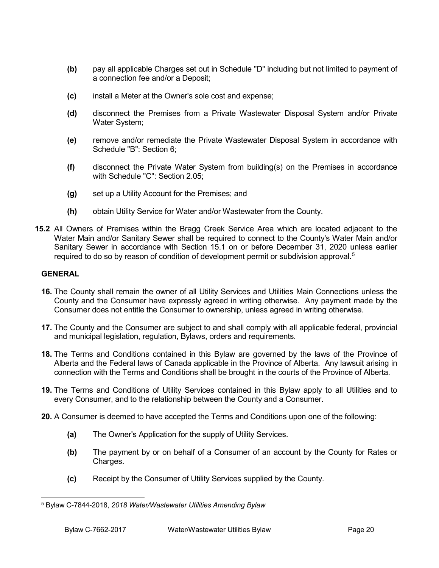- **(b)** pay all applicable Charges set out in Schedule "D" including but not limited to payment of a connection fee and/or a Deposit;
- **(c)** install a Meter at the Owner's sole cost and expense;
- **(d)** disconnect the Premises from a Private Wastewater Disposal System and/or Private Water System;
- **(e)** remove and/or remediate the Private Wastewater Disposal System in accordance with Schedule "B": Section 6;
- **(f)** disconnect the Private Water System from building(s) on the Premises in accordance with Schedule "C": Section 2.05;
- **(g)** set up a Utility Account for the Premises; and
- **(h)** obtain Utility Service for Water and/or Wastewater from the County.
- **15.2** All Owners of Premises within the Bragg Creek Service Area which are located adjacent to the Water Main and/or Sanitary Sewer shall be required to connect to the County's Water Main and/or Sanitary Sewer in accordance with Section 15.1 on or before December 31, 2020 unless earlier required to do so by reason of condition of development permit or subdivision approval.<sup>[5](#page-19-0)</sup>

#### **GENERAL**

- **16.** The County shall remain the owner of all Utility Services and Utilities Main Connections unless the County and the Consumer have expressly agreed in writing otherwise. Any payment made by the Consumer does not entitle the Consumer to ownership, unless agreed in writing otherwise.
- **17.** The County and the Consumer are subject to and shall comply with all applicable federal, provincial and municipal legislation, regulation, Bylaws, orders and requirements.
- **18.** The Terms and Conditions contained in this Bylaw are governed by the laws of the Province of Alberta and the Federal laws of Canada applicable in the Province of Alberta. Any lawsuit arising in connection with the Terms and Conditions shall be brought in the courts of the Province of Alberta.
- **19.** The Terms and Conditions of Utility Services contained in this Bylaw apply to all Utilities and to every Consumer, and to the relationship between the County and a Consumer.
- **20.** A Consumer is deemed to have accepted the Terms and Conditions upon one of the following:
	- **(a)** The Owner's Application for the supply of Utility Services.
	- **(b)** The payment by or on behalf of a Consumer of an account by the County for Rates or Charges.
	- **(c)** Receipt by the Consumer of Utility Services supplied by the County.

<span id="page-19-0"></span> <sup>5</sup> Bylaw C-7844-2018, *2018 Water/Wastewater Utilities Amending Bylaw*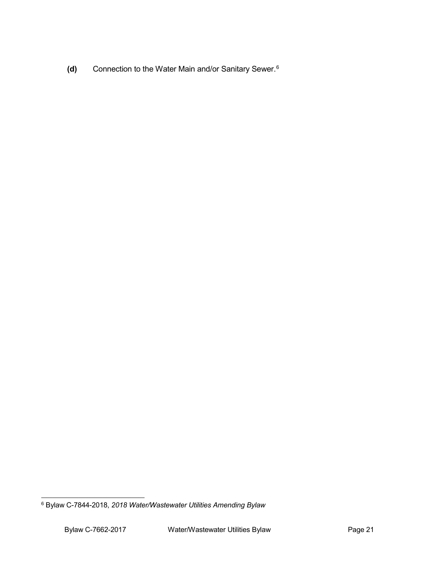**(d)** Connection to the Water Main and/or Sanitary Sewer.[6](#page-20-0)

<span id="page-20-0"></span> <sup>6</sup> Bylaw C-7844-2018, *2018 Water/Wastewater Utilities Amending Bylaw*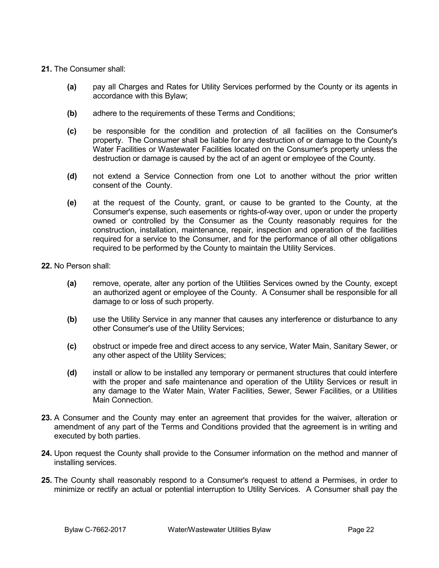- **21.** The Consumer shall:
	- **(a)** pay all Charges and Rates for Utility Services performed by the County or its agents in accordance with this Bylaw;
	- **(b)** adhere to the requirements of these Terms and Conditions;
	- **(c)** be responsible for the condition and protection of all facilities on the Consumer's property. The Consumer shall be liable for any destruction of or damage to the County's Water Facilities or Wastewater Facilities located on the Consumer's property unless the destruction or damage is caused by the act of an agent or employee of the County.
	- **(d)** not extend a Service Connection from one Lot to another without the prior written consent of the County.
	- **(e)** at the request of the County, grant, or cause to be granted to the County, at the Consumer's expense, such easements or rights-of-way over, upon or under the property owned or controlled by the Consumer as the County reasonably requires for the construction, installation, maintenance, repair, inspection and operation of the facilities required for a service to the Consumer, and for the performance of all other obligations required to be performed by the County to maintain the Utility Services.
- **22.** No Person shall:
	- **(a)** remove, operate, alter any portion of the Utilities Services owned by the County, except an authorized agent or employee of the County. A Consumer shall be responsible for all damage to or loss of such property.
	- **(b)** use the Utility Service in any manner that causes any interference or disturbance to any other Consumer's use of the Utility Services;
	- **(c)** obstruct or impede free and direct access to any service, Water Main, Sanitary Sewer, or any other aspect of the Utility Services;
	- **(d)** install or allow to be installed any temporary or permanent structures that could interfere with the proper and safe maintenance and operation of the Utility Services or result in any damage to the Water Main, Water Facilities, Sewer, Sewer Facilities, or a Utilities Main Connection.
- **23.** A Consumer and the County may enter an agreement that provides for the waiver, alteration or amendment of any part of the Terms and Conditions provided that the agreement is in writing and executed by both parties.
- **24.** Upon request the County shall provide to the Consumer information on the method and manner of installing services.
- **25.** The County shall reasonably respond to a Consumer's request to attend a Permises, in order to minimize or rectify an actual or potential interruption to Utility Services. A Consumer shall pay the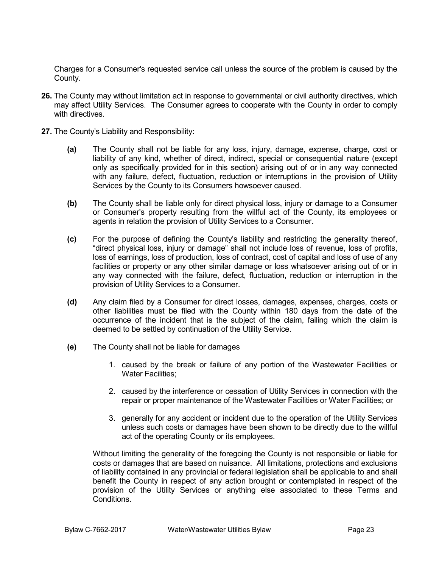Charges for a Consumer's requested service call unless the source of the problem is caused by the County.

- **26.** The County may without limitation act in response to governmental or civil authority directives, which may affect Utility Services. The Consumer agrees to cooperate with the County in order to comply with directives.
- **27.** The County's Liability and Responsibility:
	- **(a)** The County shall not be liable for any loss, injury, damage, expense, charge, cost or liability of any kind, whether of direct, indirect, special or consequential nature (except only as specifically provided for in this section) arising out of or in any way connected with any failure, defect, fluctuation, reduction or interruptions in the provision of Utility Services by the County to its Consumers howsoever caused.
	- **(b)** The County shall be liable only for direct physical loss, injury or damage to a Consumer or Consumer's property resulting from the willful act of the County, its employees or agents in relation the provision of Utility Services to a Consumer.
	- **(c)** For the purpose of defining the County's liability and restricting the generality thereof, "direct physical loss, injury or damage" shall not include loss of revenue, loss of profits, loss of earnings, loss of production, loss of contract, cost of capital and loss of use of any facilities or property or any other similar damage or loss whatsoever arising out of or in any way connected with the failure, defect, fluctuation, reduction or interruption in the provision of Utility Services to a Consumer.
	- **(d)** Any claim filed by a Consumer for direct losses, damages, expenses, charges, costs or other liabilities must be filed with the County within 180 days from the date of the occurrence of the incident that is the subject of the claim, failing which the claim is deemed to be settled by continuation of the Utility Service.
	- **(e)** The County shall not be liable for damages
		- 1. caused by the break or failure of any portion of the Wastewater Facilities or Water Facilities:
		- 2. caused by the interference or cessation of Utility Services in connection with the repair or proper maintenance of the Wastewater Facilities or Water Facilities; or
		- 3. generally for any accident or incident due to the operation of the Utility Services unless such costs or damages have been shown to be directly due to the willful act of the operating County or its employees.

Without limiting the generality of the foregoing the County is not responsible or liable for costs or damages that are based on nuisance. All limitations, protections and exclusions of liability contained in any provincial or federal legislation shall be applicable to and shall benefit the County in respect of any action brought or contemplated in respect of the provision of the Utility Services or anything else associated to these Terms and **Conditions**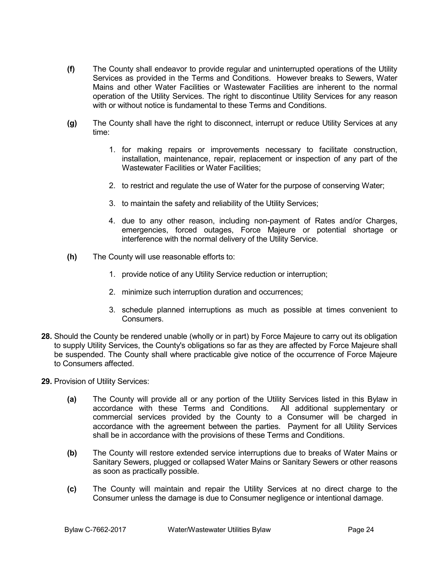- **(f)** The County shall endeavor to provide regular and uninterrupted operations of the Utility Services as provided in the Terms and Conditions. However breaks to Sewers, Water Mains and other Water Facilities or Wastewater Facilities are inherent to the normal operation of the Utility Services. The right to discontinue Utility Services for any reason with or without notice is fundamental to these Terms and Conditions.
- **(g)** The County shall have the right to disconnect, interrupt or reduce Utility Services at any time:
	- 1. for making repairs or improvements necessary to facilitate construction, installation, maintenance, repair, replacement or inspection of any part of the Wastewater Facilities or Water Facilities;
	- 2. to restrict and regulate the use of Water for the purpose of conserving Water;
	- 3. to maintain the safety and reliability of the Utility Services;
	- 4. due to any other reason, including non-payment of Rates and/or Charges, emergencies, forced outages, Force Majeure or potential shortage or interference with the normal delivery of the Utility Service.
- **(h)** The County will use reasonable efforts to:
	- 1. provide notice of any Utility Service reduction or interruption;
	- 2. minimize such interruption duration and occurrences;
	- 3. schedule planned interruptions as much as possible at times convenient to Consumers.
- **28.** Should the County be rendered unable (wholly or in part) by Force Majeure to carry out its obligation to supply Utility Services, the County's obligations so far as they are affected by Force Majeure shall be suspended. The County shall where practicable give notice of the occurrence of Force Majeure to Consumers affected.
- **29.** Provision of Utility Services:
	- **(a)** The County will provide all or any portion of the Utility Services listed in this Bylaw in accordance with these Terms and Conditions. All additional supplementary or commercial services provided by the County to a Consumer will be charged in accordance with the agreement between the parties. Payment for all Utility Services shall be in accordance with the provisions of these Terms and Conditions.
	- **(b)** The County will restore extended service interruptions due to breaks of Water Mains or Sanitary Sewers, plugged or collapsed Water Mains or Sanitary Sewers or other reasons as soon as practically possible.
	- **(c)** The County will maintain and repair the Utility Services at no direct charge to the Consumer unless the damage is due to Consumer negligence or intentional damage.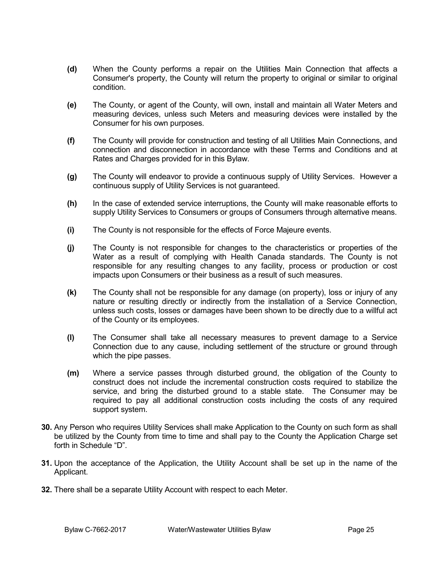- **(d)** When the County performs a repair on the Utilities Main Connection that affects a Consumer's property, the County will return the property to original or similar to original condition.
- **(e)** The County, or agent of the County, will own, install and maintain all Water Meters and measuring devices, unless such Meters and measuring devices were installed by the Consumer for his own purposes.
- **(f)** The County will provide for construction and testing of all Utilities Main Connections, and connection and disconnection in accordance with these Terms and Conditions and at Rates and Charges provided for in this Bylaw.
- **(g)** The County will endeavor to provide a continuous supply of Utility Services. However a continuous supply of Utility Services is not guaranteed.
- **(h)** In the case of extended service interruptions, the County will make reasonable efforts to supply Utility Services to Consumers or groups of Consumers through alternative means.
- **(i)** The County is not responsible for the effects of Force Majeure events.
- **(j)** The County is not responsible for changes to the characteristics or properties of the Water as a result of complying with Health Canada standards. The County is not responsible for any resulting changes to any facility, process or production or cost impacts upon Consumers or their business as a result of such measures.
- **(k)** The County shall not be responsible for any damage (on property), loss or injury of any nature or resulting directly or indirectly from the installation of a Service Connection, unless such costs, losses or damages have been shown to be directly due to a willful act of the County or its employees.
- **(l)** The Consumer shall take all necessary measures to prevent damage to a Service Connection due to any cause, including settlement of the structure or ground through which the pipe passes.
- **(m)** Where a service passes through disturbed ground, the obligation of the County to construct does not include the incremental construction costs required to stabilize the service, and bring the disturbed ground to a stable state. The Consumer may be required to pay all additional construction costs including the costs of any required support system.
- **30.** Any Person who requires Utility Services shall make Application to the County on such form as shall be utilized by the County from time to time and shall pay to the County the Application Charge set forth in Schedule "D".
- **31.** Upon the acceptance of the Application, the Utility Account shall be set up in the name of the Applicant.
- **32.** There shall be a separate Utility Account with respect to each Meter.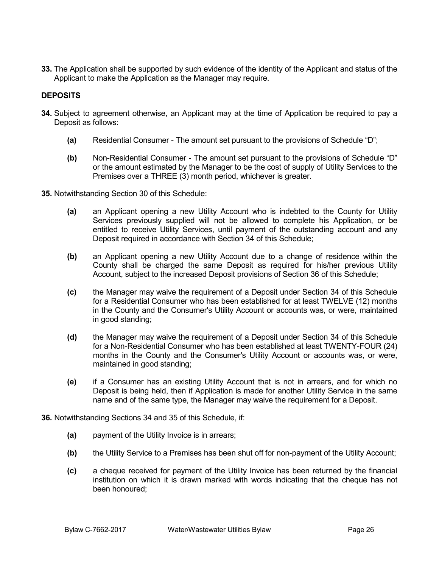**33.** The Application shall be supported by such evidence of the identity of the Applicant and status of the Applicant to make the Application as the Manager may require.

# **DEPOSITS**

- **34.** Subject to agreement otherwise, an Applicant may at the time of Application be required to pay a Deposit as follows:
	- **(a)** Residential Consumer The amount set pursuant to the provisions of Schedule "D";
	- **(b)** Non-Residential Consumer The amount set pursuant to the provisions of Schedule "D" or the amount estimated by the Manager to be the cost of supply of Utility Services to the Premises over a THREE (3) month period, whichever is greater.
- **35.** Notwithstanding Section 30 of this Schedule:
	- **(a)** an Applicant opening a new Utility Account who is indebted to the County for Utility Services previously supplied will not be allowed to complete his Application, or be entitled to receive Utility Services, until payment of the outstanding account and any Deposit required in accordance with Section 34 of this Schedule;
	- **(b)** an Applicant opening a new Utility Account due to a change of residence within the County shall be charged the same Deposit as required for his/her previous Utility Account, subject to the increased Deposit provisions of Section 36 of this Schedule;
	- **(c)** the Manager may waive the requirement of a Deposit under Section 34 of this Schedule for a Residential Consumer who has been established for at least TWELVE (12) months in the County and the Consumer's Utility Account or accounts was, or were, maintained in good standing;
	- **(d)** the Manager may waive the requirement of a Deposit under Section 34 of this Schedule for a Non-Residential Consumer who has been established at least TWENTY-FOUR (24) months in the County and the Consumer's Utility Account or accounts was, or were, maintained in good standing;
	- **(e)** if a Consumer has an existing Utility Account that is not in arrears, and for which no Deposit is being held, then if Application is made for another Utility Service in the same name and of the same type, the Manager may waive the requirement for a Deposit.
- **36.** Notwithstanding Sections 34 and 35 of this Schedule, if:
	- **(a)** payment of the Utility Invoice is in arrears;
	- **(b)** the Utility Service to a Premises has been shut off for non-payment of the Utility Account;
	- **(c)** a cheque received for payment of the Utility Invoice has been returned by the financial institution on which it is drawn marked with words indicating that the cheque has not been honoured;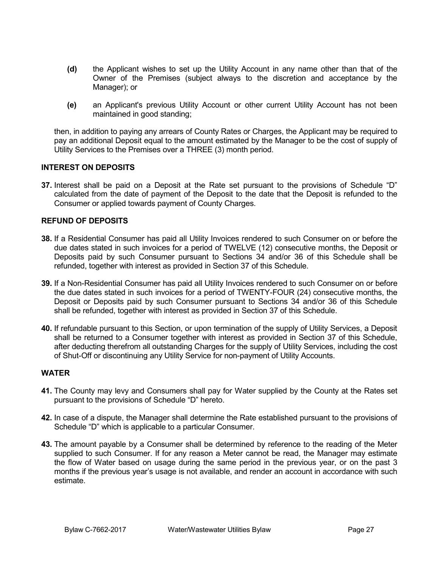- **(d)** the Applicant wishes to set up the Utility Account in any name other than that of the Owner of the Premises (subject always to the discretion and acceptance by the Manager); or
- **(e)** an Applicant's previous Utility Account or other current Utility Account has not been maintained in good standing;

then, in addition to paying any arrears of County Rates or Charges, the Applicant may be required to pay an additional Deposit equal to the amount estimated by the Manager to be the cost of supply of Utility Services to the Premises over a THREE (3) month period.

# **INTEREST ON DEPOSITS**

**37.** Interest shall be paid on a Deposit at the Rate set pursuant to the provisions of Schedule "D" calculated from the date of payment of the Deposit to the date that the Deposit is refunded to the Consumer or applied towards payment of County Charges.

# **REFUND OF DEPOSITS**

- **38.** If a Residential Consumer has paid all Utility Invoices rendered to such Consumer on or before the due dates stated in such invoices for a period of TWELVE (12) consecutive months, the Deposit or Deposits paid by such Consumer pursuant to Sections 34 and/or 36 of this Schedule shall be refunded, together with interest as provided in Section 37 of this Schedule.
- **39.** If a Non-Residential Consumer has paid all Utility Invoices rendered to such Consumer on or before the due dates stated in such invoices for a period of TWENTY-FOUR (24) consecutive months, the Deposit or Deposits paid by such Consumer pursuant to Sections 34 and/or 36 of this Schedule shall be refunded, together with interest as provided in Section 37 of this Schedule.
- **40.** If refundable pursuant to this Section, or upon termination of the supply of Utility Services, a Deposit shall be returned to a Consumer together with interest as provided in Section 37 of this Schedule, after deducting therefrom all outstanding Charges for the supply of Utility Services, including the cost of Shut-Off or discontinuing any Utility Service for non-payment of Utility Accounts.

# **WATER**

- **41.** The County may levy and Consumers shall pay for Water supplied by the County at the Rates set pursuant to the provisions of Schedule "D" hereto.
- **42.** In case of a dispute, the Manager shall determine the Rate established pursuant to the provisions of Schedule "D" which is applicable to a particular Consumer.
- **43.** The amount payable by a Consumer shall be determined by reference to the reading of the Meter supplied to such Consumer. If for any reason a Meter cannot be read, the Manager may estimate the flow of Water based on usage during the same period in the previous year, or on the past 3 months if the previous year's usage is not available, and render an account in accordance with such estimate.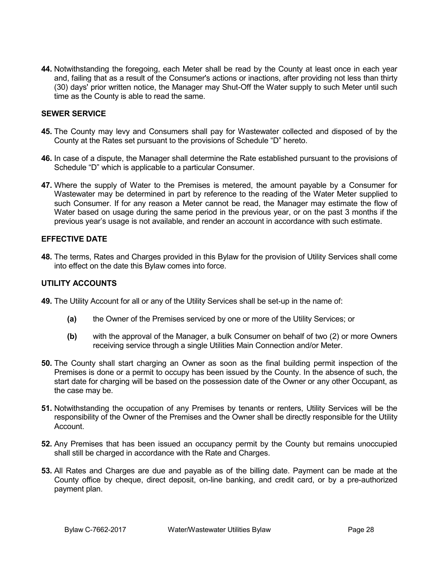**44.** Notwithstanding the foregoing, each Meter shall be read by the County at least once in each year and, failing that as a result of the Consumer's actions or inactions, after providing not less than thirty (30) days' prior written notice, the Manager may Shut-Off the Water supply to such Meter until such time as the County is able to read the same.

# **SEWER SERVICE**

- **45.** The County may levy and Consumers shall pay for Wastewater collected and disposed of by the County at the Rates set pursuant to the provisions of Schedule "D" hereto.
- **46.** In case of a dispute, the Manager shall determine the Rate established pursuant to the provisions of Schedule "D" which is applicable to a particular Consumer.
- **47.** Where the supply of Water to the Premises is metered, the amount payable by a Consumer for Wastewater may be determined in part by reference to the reading of the Water Meter supplied to such Consumer. If for any reason a Meter cannot be read, the Manager may estimate the flow of Water based on usage during the same period in the previous year, or on the past 3 months if the previous year's usage is not available, and render an account in accordance with such estimate.

# **EFFECTIVE DATE**

**48.** The terms, Rates and Charges provided in this Bylaw for the provision of Utility Services shall come into effect on the date this Bylaw comes into force.

# **UTILITY ACCOUNTS**

- **49.** The Utility Account for all or any of the Utility Services shall be set-up in the name of:
	- **(a)** the Owner of the Premises serviced by one or more of the Utility Services; or
	- **(b)** with the approval of the Manager, a bulk Consumer on behalf of two (2) or more Owners receiving service through a single Utilities Main Connection and/or Meter.
- **50.** The County shall start charging an Owner as soon as the final building permit inspection of the Premises is done or a permit to occupy has been issued by the County. In the absence of such, the start date for charging will be based on the possession date of the Owner or any other Occupant, as the case may be.
- **51.** Notwithstanding the occupation of any Premises by tenants or renters, Utility Services will be the responsibility of the Owner of the Premises and the Owner shall be directly responsible for the Utility Account.
- **52.** Any Premises that has been issued an occupancy permit by the County but remains unoccupied shall still be charged in accordance with the Rate and Charges.
- **53.** All Rates and Charges are due and payable as of the billing date. Payment can be made at the County office by cheque, direct deposit, on-line banking, and credit card, or by a pre-authorized payment plan.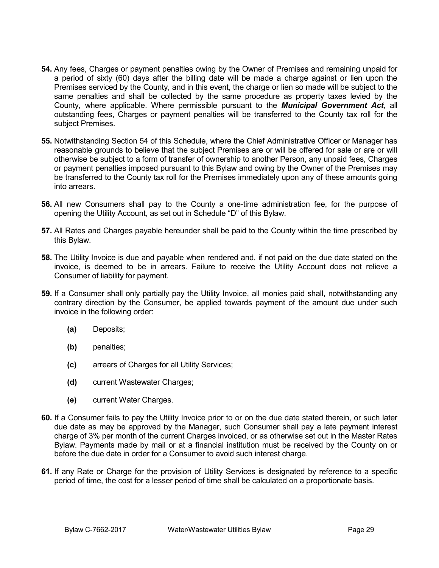- **54.** Any fees, Charges or payment penalties owing by the Owner of Premises and remaining unpaid for a period of sixty (60) days after the billing date will be made a charge against or lien upon the Premises serviced by the County, and in this event, the charge or lien so made will be subject to the same penalties and shall be collected by the same procedure as property taxes levied by the County, where applicable. Where permissible pursuant to the *Municipal Government Act*, all outstanding fees, Charges or payment penalties will be transferred to the County tax roll for the subject Premises.
- **55.** Notwithstanding Section 54 of this Schedule, where the Chief Administrative Officer or Manager has reasonable grounds to believe that the subject Premises are or will be offered for sale or are or will otherwise be subject to a form of transfer of ownership to another Person, any unpaid fees, Charges or payment penalties imposed pursuant to this Bylaw and owing by the Owner of the Premises may be transferred to the County tax roll for the Premises immediately upon any of these amounts going into arrears.
- **56.** All new Consumers shall pay to the County a one-time administration fee, for the purpose of opening the Utility Account, as set out in Schedule "D" of this Bylaw.
- **57.** All Rates and Charges payable hereunder shall be paid to the County within the time prescribed by this Bylaw.
- **58.** The Utility Invoice is due and payable when rendered and, if not paid on the due date stated on the invoice, is deemed to be in arrears. Failure to receive the Utility Account does not relieve a Consumer of liability for payment.
- **59.** If a Consumer shall only partially pay the Utility Invoice, all monies paid shall, notwithstanding any contrary direction by the Consumer, be applied towards payment of the amount due under such invoice in the following order:
	- **(a)** Deposits;
	- **(b)** penalties;
	- **(c)** arrears of Charges for all Utility Services;
	- **(d)** current Wastewater Charges;
	- **(e)** current Water Charges.
- **60.** If a Consumer fails to pay the Utility Invoice prior to or on the due date stated therein, or such later due date as may be approved by the Manager, such Consumer shall pay a late payment interest charge of 3% per month of the current Charges invoiced, or as otherwise set out in the Master Rates Bylaw. Payments made by mail or at a financial institution must be received by the County on or before the due date in order for a Consumer to avoid such interest charge.
- **61.** If any Rate or Charge for the provision of Utility Services is designated by reference to a specific period of time, the cost for a lesser period of time shall be calculated on a proportionate basis.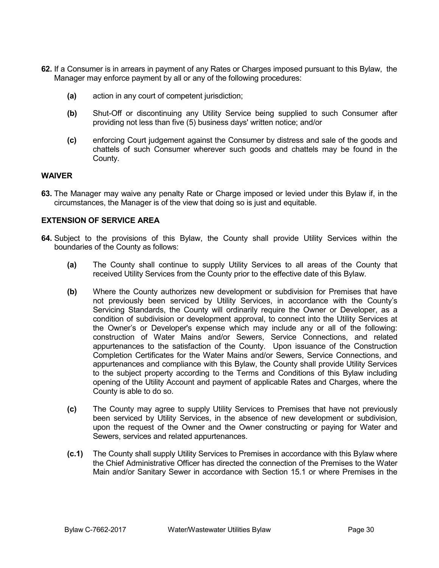- **62.** If a Consumer is in arrears in payment of any Rates or Charges imposed pursuant to this Bylaw, the Manager may enforce payment by all or any of the following procedures:
	- **(a)** action in any court of competent jurisdiction;
	- **(b)** Shut-Off or discontinuing any Utility Service being supplied to such Consumer after providing not less than five (5) business days' written notice; and/or
	- **(c)** enforcing Court judgement against the Consumer by distress and sale of the goods and chattels of such Consumer wherever such goods and chattels may be found in the County.

#### **WAIVER**

**63.** The Manager may waive any penalty Rate or Charge imposed or levied under this Bylaw if, in the circumstances, the Manager is of the view that doing so is just and equitable.

# **EXTENSION OF SERVICE AREA**

- **64.** Subject to the provisions of this Bylaw, the County shall provide Utility Services within the boundaries of the County as follows:
	- **(a)** The County shall continue to supply Utility Services to all areas of the County that received Utility Services from the County prior to the effective date of this Bylaw.
	- **(b)** Where the County authorizes new development or subdivision for Premises that have not previously been serviced by Utility Services, in accordance with the County's Servicing Standards, the County will ordinarily require the Owner or Developer, as a condition of subdivision or development approval, to connect into the Utility Services at the Owner's or Developer's expense which may include any or all of the following: construction of Water Mains and/or Sewers, Service Connections, and related appurtenances to the satisfaction of the County. Upon issuance of the Construction Completion Certificates for the Water Mains and/or Sewers, Service Connections, and appurtenances and compliance with this Bylaw, the County shall provide Utility Services to the subject property according to the Terms and Conditions of this Bylaw including opening of the Utility Account and payment of applicable Rates and Charges, where the County is able to do so.
	- **(c)** The County may agree to supply Utility Services to Premises that have not previously been serviced by Utility Services, in the absence of new development or subdivision, upon the request of the Owner and the Owner constructing or paying for Water and Sewers, services and related appurtenances.
	- **(c.1)** The County shall supply Utility Services to Premises in accordance with this Bylaw where the Chief Administrative Officer has directed the connection of the Premises to the Water Main and/or Sanitary Sewer in accordance with Section 15.1 or where Premises in the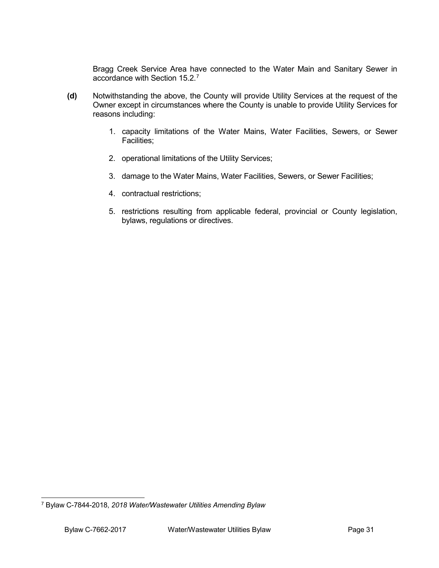Bragg Creek Service Area have connected to the Water Main and Sanitary Sewer in accordance with Section 15.2. $<sup>7</sup>$  $<sup>7</sup>$  $<sup>7</sup>$ </sup>

- **(d)** Notwithstanding the above, the County will provide Utility Services at the request of the Owner except in circumstances where the County is unable to provide Utility Services for reasons including:
	- 1. capacity limitations of the Water Mains, Water Facilities, Sewers, or Sewer Facilities;
	- 2. operational limitations of the Utility Services;
	- 3. damage to the Water Mains, Water Facilities, Sewers, or Sewer Facilities;
	- 4. contractual restrictions;
	- 5. restrictions resulting from applicable federal, provincial or County legislation, bylaws, regulations or directives.

<span id="page-30-0"></span> <sup>7</sup> Bylaw C-7844-2018, *2018 Water/Wastewater Utilities Amending Bylaw*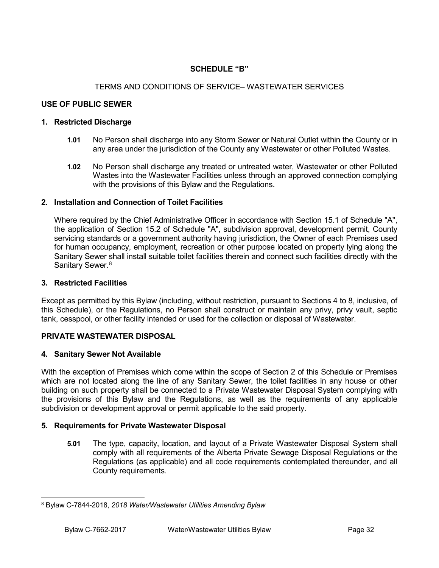# **SCHEDULE "B"**

# TERMS AND CONDITIONS OF SERVICE– WASTEWATER SERVICES

# **USE OF PUBLIC SEWER**

#### **1. Restricted Discharge**

- **1.01** No Person shall discharge into any Storm Sewer or Natural Outlet within the County or in any area under the jurisdiction of the County any Wastewater or other Polluted Wastes.
- **1.02** No Person shall discharge any treated or untreated water, Wastewater or other Polluted Wastes into the Wastewater Facilities unless through an approved connection complying with the provisions of this Bylaw and the Regulations.

#### **2. Installation and Connection of Toilet Facilities**

Where required by the Chief Administrative Officer in accordance with Section 15.1 of Schedule "A", the application of Section 15.2 of Schedule "A", subdivision approval, development permit, County servicing standards or a government authority having jurisdiction, the Owner of each Premises used for human occupancy, employment, recreation or other purpose located on property lying along the Sanitary Sewer shall install suitable toilet facilities therein and connect such facilities directly with the Sanitary Sewer.<sup>[8](#page-31-0)</sup>

#### **3. Restricted Facilities**

Except as permitted by this Bylaw (including, without restriction, pursuant to Sections 4 to 8, inclusive, of this Schedule), or the Regulations, no Person shall construct or maintain any privy, privy vault, septic tank, cesspool, or other facility intended or used for the collection or disposal of Wastewater.

# **PRIVATE WASTEWATER DISPOSAL**

#### **4. Sanitary Sewer Not Available**

With the exception of Premises which come within the scope of Section 2 of this Schedule or Premises which are not located along the line of any Sanitary Sewer, the toilet facilities in any house or other building on such property shall be connected to a Private Wastewater Disposal System complying with the provisions of this Bylaw and the Regulations, as well as the requirements of any applicable subdivision or development approval or permit applicable to the said property.

#### **5. Requirements for Private Wastewater Disposal**

**5.01** The type, capacity, location, and layout of a Private Wastewater Disposal System shall comply with all requirements of the Alberta Private Sewage Disposal Regulations or the Regulations (as applicable) and all code requirements contemplated thereunder, and all County requirements.

<span id="page-31-0"></span> <sup>8</sup> Bylaw C-7844-2018, *2018 Water/Wastewater Utilities Amending Bylaw*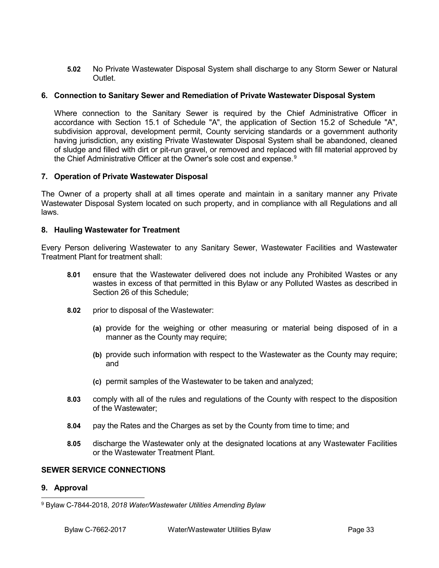**5.02** No Private Wastewater Disposal System shall discharge to any Storm Sewer or Natural **Outlet** 

# **6. Connection to Sanitary Sewer and Remediation of Private Wastewater Disposal System**

Where connection to the Sanitary Sewer is required by the Chief Administrative Officer in accordance with Section 15.1 of Schedule "A", the application of Section 15.2 of Schedule "A", subdivision approval, development permit, County servicing standards or a government authority having jurisdiction, any existing Private Wastewater Disposal System shall be abandoned, cleaned of sludge and filled with dirt or pit-run gravel, or removed and replaced with fill material approved by the Chief Administrative Officer at the Owner's sole cost and expense.<sup>[9](#page-32-0)</sup>

# **7. Operation of Private Wastewater Disposal**

The Owner of a property shall at all times operate and maintain in a sanitary manner any Private Wastewater Disposal System located on such property, and in compliance with all Regulations and all laws.

#### **8. Hauling Wastewater for Treatment**

Every Person delivering Wastewater to any Sanitary Sewer, Wastewater Facilities and Wastewater Treatment Plant for treatment shall:

- **8.01** ensure that the Wastewater delivered does not include any Prohibited Wastes or any wastes in excess of that permitted in this Bylaw or any Polluted Wastes as described in Section 26 of this Schedule;
- **8.02** prior to disposal of the Wastewater:
	- **(a)** provide for the weighing or other measuring or material being disposed of in a manner as the County may require;
	- **(b)** provide such information with respect to the Wastewater as the County may require; and
	- **(c)** permit samples of the Wastewater to be taken and analyzed;
- **8.03** comply with all of the rules and regulations of the County with respect to the disposition of the Wastewater;
- **8.04** pay the Rates and the Charges as set by the County from time to time; and
- **8.05** discharge the Wastewater only at the designated locations at any Wastewater Facilities or the Wastewater Treatment Plant.

#### **SEWER SERVICE CONNECTIONS**

# **9. Approval**

<span id="page-32-0"></span> <sup>9</sup> Bylaw C-7844-2018, *2018 Water/Wastewater Utilities Amending Bylaw*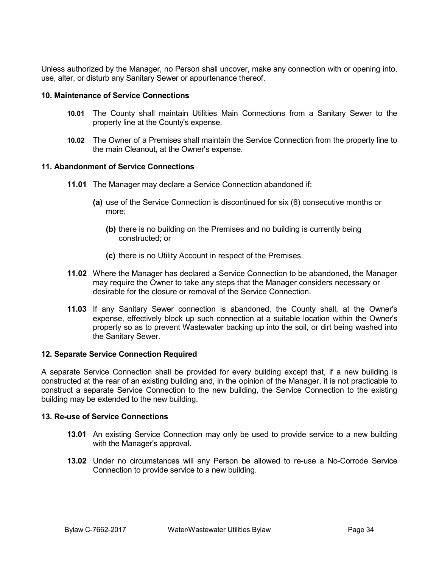Unless authorized by the Manager, no Person shall uncover, make any connection with or opening into, use, alter, or disturb any Sanitary Sewer or appurtenance thereof.

# **10. Maintenance of Service Connections**

- **10.01** The County shall maintain Utilities Main Connections from a Sanitary Sewer to the property line at the County's expense.
- **10.02** The Owner of a Premises shall maintain the Service Connection from the property line to the main Cleanout, at the Owner's expense.

# **11. Abandonment of Service Connections**

- **11.01** The Manager may declare a Service Connection abandoned if:
	- **(a)** use of the Service Connection is discontinued for six (6) consecutive months or more;
		- **(b)** there is no building on the Premises and no building is currently being constructed; or
		- **(c)** there is no Utility Account in respect of the Premises.
- **11.02** Where the Manager has declared a Service Connection to be abandoned, the Manager may require the Owner to take any steps that the Manager considers necessary or desirable for the closure or removal of the Service Connection.
- **11.03** If any Sanitary Sewer connection is abandoned, the County shall, at the Owner's expense, effectively block up such connection at a suitable location within the Owner's property so as to prevent Wastewater backing up into the soil, or dirt being washed into the Sanitary Sewer.

#### **12. Separate Service Connection Required**

A separate Service Connection shall be provided for every building except that, if a new building is constructed at the rear of an existing building and, in the opinion of the Manager, it is not practicable to construct a separate Service Connection to the new building, the Service Connection to the existing building may be extended to the new building.

# **13. Re-use of Service Connections**

- **13.01** An existing Service Connection may only be used to provide service to a new building with the Manager's approval.
- **13.02** Under no circumstances will any Person be allowed to re-use a No-Corrode Service Connection to provide service to a new building.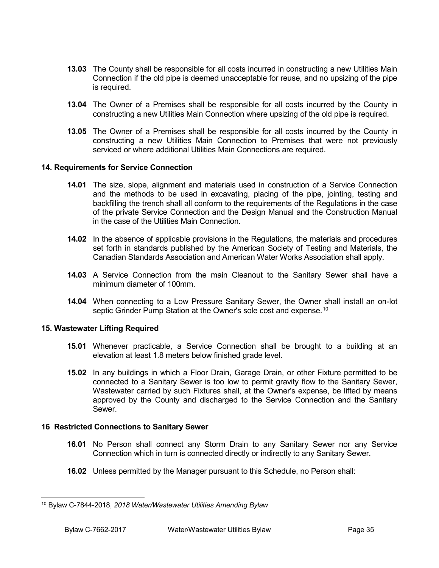- **13.03** The County shall be responsible for all costs incurred in constructing a new Utilities Main Connection if the old pipe is deemed unacceptable for reuse, and no upsizing of the pipe is required.
- **13.04** The Owner of a Premises shall be responsible for all costs incurred by the County in constructing a new Utilities Main Connection where upsizing of the old pipe is required.
- **13.05** The Owner of a Premises shall be responsible for all costs incurred by the County in constructing a new Utilities Main Connection to Premises that were not previously serviced or where additional Utilities Main Connections are required.

# **14. Requirements for Service Connection**

- **14.01** The size, slope, alignment and materials used in construction of a Service Connection and the methods to be used in excavating, placing of the pipe, jointing, testing and backfilling the trench shall all conform to the requirements of the Regulations in the case of the private Service Connection and the Design Manual and the Construction Manual in the case of the Utilities Main Connection.
- **14.02** In the absence of applicable provisions in the Regulations, the materials and procedures set forth in standards published by the American Society of Testing and Materials, the Canadian Standards Association and American Water Works Association shall apply.
- **14.03** A Service Connection from the main Cleanout to the Sanitary Sewer shall have a minimum diameter of 100mm.
- **14.04** When connecting to a Low Pressure Sanitary Sewer, the Owner shall install an on-lot septic Grinder Pump Station at the Owner's sole cost and expense.<sup>[10](#page-34-0)</sup>

#### **15. Wastewater Lifting Required**

- **15.01** Whenever practicable, a Service Connection shall be brought to a building at an elevation at least 1.8 meters below finished grade level.
- **15.02** In any buildings in which a Floor Drain, Garage Drain, or other Fixture permitted to be connected to a Sanitary Sewer is too low to permit gravity flow to the Sanitary Sewer, Wastewater carried by such Fixtures shall, at the Owner's expense, be lifted by means approved by the County and discharged to the Service Connection and the Sanitary Sewer.

#### **16 Restricted Connections to Sanitary Sewer**

- **16.01** No Person shall connect any Storm Drain to any Sanitary Sewer nor any Service Connection which in turn is connected directly or indirectly to any Sanitary Sewer.
- **16.02** Unless permitted by the Manager pursuant to this Schedule, no Person shall:

<span id="page-34-0"></span> <sup>10</sup> Bylaw C-7844-2018, *2018 Water/Wastewater Utilities Amending Bylaw*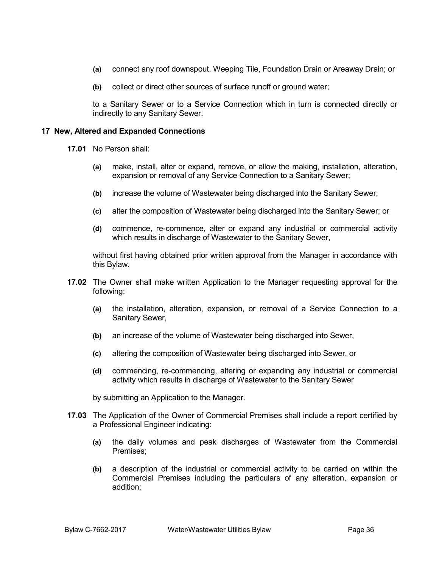- **(a)** connect any roof downspout, Weeping Tile, Foundation Drain or Areaway Drain; or
- **(b)** collect or direct other sources of surface runoff or ground water;

to a Sanitary Sewer or to a Service Connection which in turn is connected directly or indirectly to any Sanitary Sewer.

#### **17 New, Altered and Expanded Connections**

**17.01** No Person shall:

- **(a)** make, install, alter or expand, remove, or allow the making, installation, alteration, expansion or removal of any Service Connection to a Sanitary Sewer;
- **(b)** increase the volume of Wastewater being discharged into the Sanitary Sewer;
- **(c)** alter the composition of Wastewater being discharged into the Sanitary Sewer; or
- **(d)** commence, re-commence, alter or expand any industrial or commercial activity which results in discharge of Wastewater to the Sanitary Sewer,

without first having obtained prior written approval from the Manager in accordance with this Bylaw.

- **17.02** The Owner shall make written Application to the Manager requesting approval for the following:
	- **(a)** the installation, alteration, expansion, or removal of a Service Connection to a Sanitary Sewer,
	- **(b)** an increase of the volume of Wastewater being discharged into Sewer,
	- **(c)** altering the composition of Wastewater being discharged into Sewer, or
	- **(d)** commencing, re-commencing, altering or expanding any industrial or commercial activity which results in discharge of Wastewater to the Sanitary Sewer

by submitting an Application to the Manager.

- **17.03** The Application of the Owner of Commercial Premises shall include a report certified by a Professional Engineer indicating:
	- **(a)** the daily volumes and peak discharges of Wastewater from the Commercial Premises;
	- **(b)** a description of the industrial or commercial activity to be carried on within the Commercial Premises including the particulars of any alteration, expansion or addition;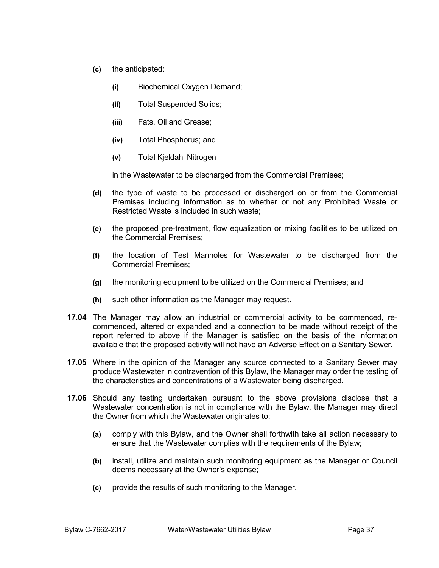- **(c)** the anticipated:
	- **(i)** Biochemical Oxygen Demand;
	- **(ii)** Total Suspended Solids;
	- **(iii)** Fats, Oil and Grease;
	- **(iv)** Total Phosphorus; and
	- **(v)** Total Kjeldahl Nitrogen

in the Wastewater to be discharged from the Commercial Premises;

- **(d)** the type of waste to be processed or discharged on or from the Commercial Premises including information as to whether or not any Prohibited Waste or Restricted Waste is included in such waste;
- **(e)** the proposed pre-treatment, flow equalization or mixing facilities to be utilized on the Commercial Premises;
- **(f)** the location of Test Manholes for Wastewater to be discharged from the Commercial Premises;
- **(g)** the monitoring equipment to be utilized on the Commercial Premises; and
- **(h)** such other information as the Manager may request.
- **17.04** The Manager may allow an industrial or commercial activity to be commenced, recommenced, altered or expanded and a connection to be made without receipt of the report referred to above if the Manager is satisfied on the basis of the information available that the proposed activity will not have an Adverse Effect on a Sanitary Sewer.
- **17.05** Where in the opinion of the Manager any source connected to a Sanitary Sewer may produce Wastewater in contravention of this Bylaw, the Manager may order the testing of the characteristics and concentrations of a Wastewater being discharged.
- **17.06** Should any testing undertaken pursuant to the above provisions disclose that a Wastewater concentration is not in compliance with the Bylaw, the Manager may direct the Owner from which the Wastewater originates to:
	- **(a)** comply with this Bylaw, and the Owner shall forthwith take all action necessary to ensure that the Wastewater complies with the requirements of the Bylaw;
	- **(b)** install, utilize and maintain such monitoring equipment as the Manager or Council deems necessary at the Owner's expense;
	- **(c)** provide the results of such monitoring to the Manager.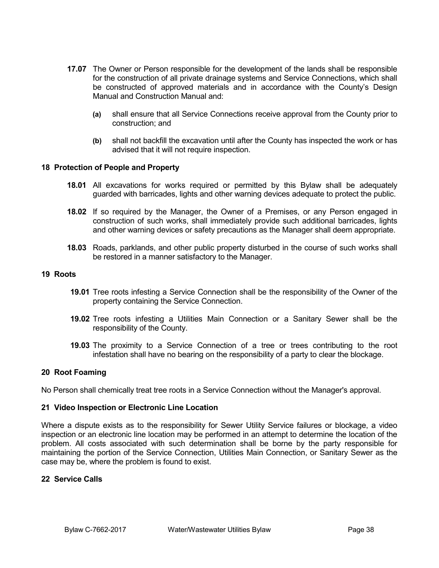- **17.07** The Owner or Person responsible for the development of the lands shall be responsible for the construction of all private drainage systems and Service Connections, which shall be constructed of approved materials and in accordance with the County's Design Manual and Construction Manual and:
	- **(a)** shall ensure that all Service Connections receive approval from the County prior to construction; and
	- **(b)** shall not backfill the excavation until after the County has inspected the work or has advised that it will not require inspection.

## **18 Protection of People and Property**

- **18.01** All excavations for works required or permitted by this Bylaw shall be adequately guarded with barricades, lights and other warning devices adequate to protect the public.
- **18.02** If so required by the Manager, the Owner of a Premises, or any Person engaged in construction of such works, shall immediately provide such additional barricades, lights and other warning devices or safety precautions as the Manager shall deem appropriate.
- **18.03** Roads, parklands, and other public property disturbed in the course of such works shall be restored in a manner satisfactory to the Manager.

## **19 Roots**

- **19.01** Tree roots infesting a Service Connection shall be the responsibility of the Owner of the property containing the Service Connection.
- **19.02** Tree roots infesting a Utilities Main Connection or a Sanitary Sewer shall be the responsibility of the County.
- **19.03** The proximity to a Service Connection of a tree or trees contributing to the root infestation shall have no bearing on the responsibility of a party to clear the blockage.

## **20 Root Foaming**

No Person shall chemically treat tree roots in a Service Connection without the Manager's approval.

## **21 Video Inspection or Electronic Line Location**

Where a dispute exists as to the responsibility for Sewer Utility Service failures or blockage, a video inspection or an electronic line location may be performed in an attempt to determine the location of the problem. All costs associated with such determination shall be borne by the party responsible for maintaining the portion of the Service Connection, Utilities Main Connection, or Sanitary Sewer as the case may be, where the problem is found to exist.

# **22 Service Calls**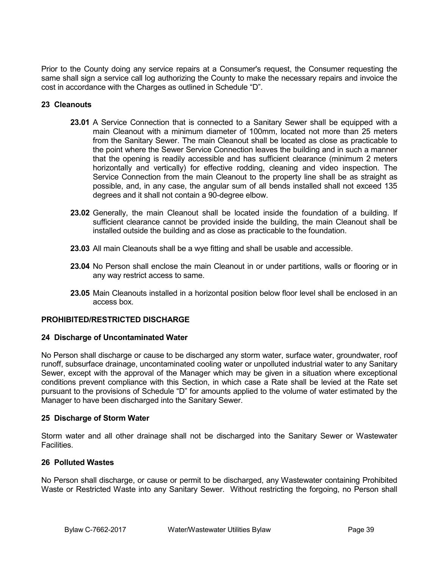Prior to the County doing any service repairs at a Consumer's request, the Consumer requesting the same shall sign a service call log authorizing the County to make the necessary repairs and invoice the cost in accordance with the Charges as outlined in Schedule "D".

# **23 Cleanouts**

- **23.01** A Service Connection that is connected to a Sanitary Sewer shall be equipped with a main Cleanout with a minimum diameter of 100mm, located not more than 25 meters from the Sanitary Sewer. The main Cleanout shall be located as close as practicable to the point where the Sewer Service Connection leaves the building and in such a manner that the opening is readily accessible and has sufficient clearance (minimum 2 meters horizontally and vertically) for effective rodding, cleaning and video inspection. The Service Connection from the main Cleanout to the property line shall be as straight as possible, and, in any case, the angular sum of all bends installed shall not exceed 135 degrees and it shall not contain a 90-degree elbow.
- **23.02** Generally, the main Cleanout shall be located inside the foundation of a building. If sufficient clearance cannot be provided inside the building, the main Cleanout shall be installed outside the building and as close as practicable to the foundation.
- **23.03** All main Cleanouts shall be a wye fitting and shall be usable and accessible.
- **23.04** No Person shall enclose the main Cleanout in or under partitions, walls or flooring or in any way restrict access to same.
- **23.05** Main Cleanouts installed in a horizontal position below floor level shall be enclosed in an access box.

# **PROHIBITED/RESTRICTED DISCHARGE**

## **24 Discharge of Uncontaminated Water**

No Person shall discharge or cause to be discharged any storm water, surface water, groundwater, roof runoff, subsurface drainage, uncontaminated cooling water or unpolluted industrial water to any Sanitary Sewer, except with the approval of the Manager which may be given in a situation where exceptional conditions prevent compliance with this Section, in which case a Rate shall be levied at the Rate set pursuant to the provisions of Schedule "D" for amounts applied to the volume of water estimated by the Manager to have been discharged into the Sanitary Sewer.

## **25 Discharge of Storm Water**

Storm water and all other drainage shall not be discharged into the Sanitary Sewer or Wastewater Facilities.

## **26 Polluted Wastes**

No Person shall discharge, or cause or permit to be discharged, any Wastewater containing Prohibited Waste or Restricted Waste into any Sanitary Sewer. Without restricting the forgoing, no Person shall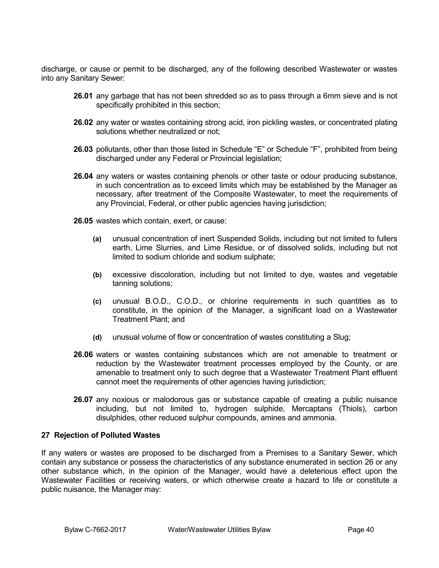discharge, or cause or permit to be discharged, any of the following described Wastewater or wastes into any Sanitary Sewer:

- **26.01** any garbage that has not been shredded so as to pass through a 6mm sieve and is not specifically prohibited in this section;
- **26.02** any water or wastes containing strong acid, iron pickling wastes, or concentrated plating solutions whether neutralized or not;
- **26.03** pollutants, other than those listed in Schedule "E" or Schedule "F", prohibited from being discharged under any Federal or Provincial legislation;
- **26.04** any waters or wastes containing phenols or other taste or odour producing substance, in such concentration as to exceed limits which may be established by the Manager as necessary, after treatment of the Composite Wastewater, to meet the requirements of any Provincial, Federal, or other public agencies having jurisdiction;
- **26.05** wastes which contain, exert, or cause:
	- **(a)** unusual concentration of inert Suspended Solids, including but not limited to fullers earth, Lime Slurries, and Lime Residue, or of dissolved solids, including but not limited to sodium chloride and sodium sulphate;
	- **(b)** excessive discoloration, including but not limited to dye, wastes and vegetable tanning solutions;
	- **(c)** unusual B.O.D., C.O.D., or chlorine requirements in such quantities as to constitute, in the opinion of the Manager, a significant load on a Wastewater Treatment Plant; and
	- **(d)** unusual volume of flow or concentration of wastes constituting a Slug;
- **26.06** waters or wastes containing substances which are not amenable to treatment or reduction by the Wastewater treatment processes employed by the County, or are amenable to treatment only to such degree that a Wastewater Treatment Plant effluent cannot meet the requirements of other agencies having jurisdiction;
- **26.07** any noxious or malodorous gas or substance capable of creating a public nuisance including, but not limited to, hydrogen sulphide, Mercaptans (Thiols), carbon disulphides, other reduced sulphur compounds, amines and ammonia.

## **27 Rejection of Polluted Wastes**

If any waters or wastes are proposed to be discharged from a Premises to a Sanitary Sewer, which contain any substance or possess the characteristics of any substance enumerated in section 26 or any other substance which, in the opinion of the Manager, would have a deleterious effect upon the Wastewater Facilities or receiving waters, or which otherwise create a hazard to life or constitute a public nuisance, the Manager may: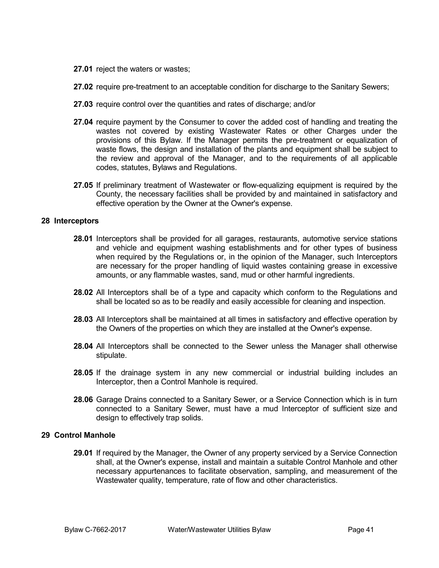- **27.01** reject the waters or wastes;
- **27.02** require pre-treatment to an acceptable condition for discharge to the Sanitary Sewers;
- **27.03** require control over the quantities and rates of discharge; and/or
- **27.04** require payment by the Consumer to cover the added cost of handling and treating the wastes not covered by existing Wastewater Rates or other Charges under the provisions of this Bylaw. If the Manager permits the pre-treatment or equalization of waste flows, the design and installation of the plants and equipment shall be subject to the review and approval of the Manager, and to the requirements of all applicable codes, statutes, Bylaws and Regulations.
- **27.05** If preliminary treatment of Wastewater or flow-equalizing equipment is required by the County, the necessary facilities shall be provided by and maintained in satisfactory and effective operation by the Owner at the Owner's expense.

#### **28 Interceptors**

- **28.01** Interceptors shall be provided for all garages, restaurants, automotive service stations and vehicle and equipment washing establishments and for other types of business when required by the Regulations or, in the opinion of the Manager, such Interceptors are necessary for the proper handling of liquid wastes containing grease in excessive amounts, or any flammable wastes, sand, mud or other harmful ingredients.
- **28.02** All Interceptors shall be of a type and capacity which conform to the Regulations and shall be located so as to be readily and easily accessible for cleaning and inspection.
- **28.03** All Interceptors shall be maintained at all times in satisfactory and effective operation by the Owners of the properties on which they are installed at the Owner's expense.
- **28.04** All Interceptors shall be connected to the Sewer unless the Manager shall otherwise stipulate.
- **28.05** If the drainage system in any new commercial or industrial building includes an Interceptor, then a Control Manhole is required.
- **28.06** Garage Drains connected to a Sanitary Sewer, or a Service Connection which is in turn connected to a Sanitary Sewer, must have a mud Interceptor of sufficient size and design to effectively trap solids.

## **29 Control Manhole**

**29.01** If required by the Manager, the Owner of any property serviced by a Service Connection shall, at the Owner's expense, install and maintain a suitable Control Manhole and other necessary appurtenances to facilitate observation, sampling, and measurement of the Wastewater quality, temperature, rate of flow and other characteristics.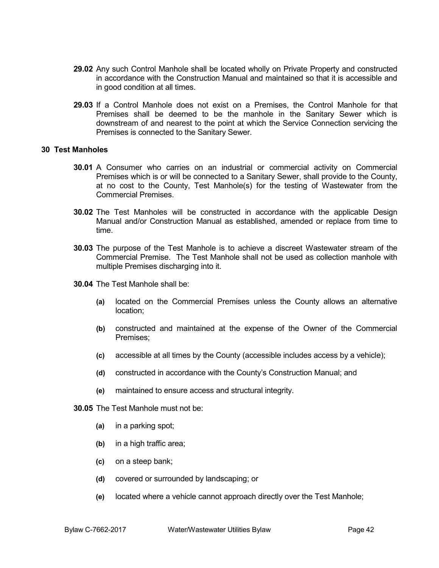- **29.02** Any such Control Manhole shall be located wholly on Private Property and constructed in accordance with the Construction Manual and maintained so that it is accessible and in good condition at all times.
- **29.03** If a Control Manhole does not exist on a Premises, the Control Manhole for that Premises shall be deemed to be the manhole in the Sanitary Sewer which is downstream of and nearest to the point at which the Service Connection servicing the Premises is connected to the Sanitary Sewer.

## **30 Test Manholes**

- **30.01** A Consumer who carries on an industrial or commercial activity on Commercial Premises which is or will be connected to a Sanitary Sewer, shall provide to the County, at no cost to the County, Test Manhole(s) for the testing of Wastewater from the Commercial Premises.
- **30.02** The Test Manholes will be constructed in accordance with the applicable Design Manual and/or Construction Manual as established, amended or replace from time to time.
- **30.03** The purpose of the Test Manhole is to achieve a discreet Wastewater stream of the Commercial Premise. The Test Manhole shall not be used as collection manhole with multiple Premises discharging into it.
- **30.04** The Test Manhole shall be:
	- **(a)** located on the Commercial Premises unless the County allows an alternative location;
	- **(b)** constructed and maintained at the expense of the Owner of the Commercial Premises;
	- **(c)** accessible at all times by the County (accessible includes access by a vehicle);
	- **(d)** constructed in accordance with the County's Construction Manual; and
	- **(e)** maintained to ensure access and structural integrity.
- **30.05** The Test Manhole must not be:
	- **(a)** in a parking spot;
	- **(b)** in a high traffic area;
	- **(c)** on a steep bank;
	- **(d)** covered or surrounded by landscaping; or
	- **(e)** located where a vehicle cannot approach directly over the Test Manhole;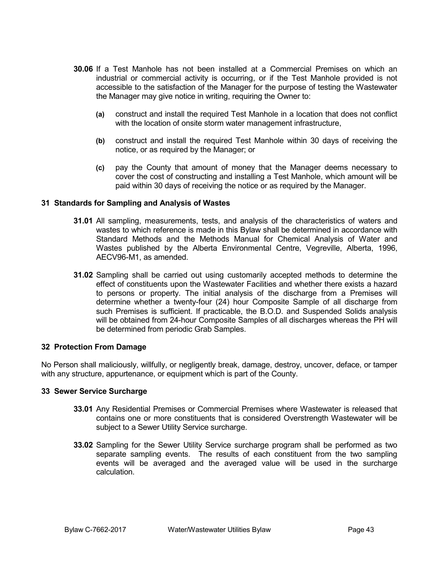- **30.06** If a Test Manhole has not been installed at a Commercial Premises on which an industrial or commercial activity is occurring, or if the Test Manhole provided is not accessible to the satisfaction of the Manager for the purpose of testing the Wastewater the Manager may give notice in writing, requiring the Owner to:
	- **(a)** construct and install the required Test Manhole in a location that does not conflict with the location of onsite storm water management infrastructure,
	- **(b)** construct and install the required Test Manhole within 30 days of receiving the notice, or as required by the Manager; or
	- **(c)** pay the County that amount of money that the Manager deems necessary to cover the cost of constructing and installing a Test Manhole, which amount will be paid within 30 days of receiving the notice or as required by the Manager.

## **31 Standards for Sampling and Analysis of Wastes**

- **31.01** All sampling, measurements, tests, and analysis of the characteristics of waters and wastes to which reference is made in this Bylaw shall be determined in accordance with Standard Methods and the Methods Manual for Chemical Analysis of Water and Wastes published by the Alberta Environmental Centre, Vegreville, Alberta, 1996, AECV96-M1, as amended.
- **31.02** Sampling shall be carried out using customarily accepted methods to determine the effect of constituents upon the Wastewater Facilities and whether there exists a hazard to persons or property. The initial analysis of the discharge from a Premises will determine whether a twenty-four (24) hour Composite Sample of all discharge from such Premises is sufficient. If practicable, the B.O.D. and Suspended Solids analysis will be obtained from 24-hour Composite Samples of all discharges whereas the PH will be determined from periodic Grab Samples.

## **32 Protection From Damage**

No Person shall maliciously, willfully, or negligently break, damage, destroy, uncover, deface, or tamper with any structure, appurtenance, or equipment which is part of the County.

## **33 Sewer Service Surcharge**

- **33.01** Any Residential Premises or Commercial Premises where Wastewater is released that contains one or more constituents that is considered Overstrength Wastewater will be subject to a Sewer Utility Service surcharge.
- **33.02** Sampling for the Sewer Utility Service surcharge program shall be performed as two separate sampling events. The results of each constituent from the two sampling events will be averaged and the averaged value will be used in the surcharge calculation.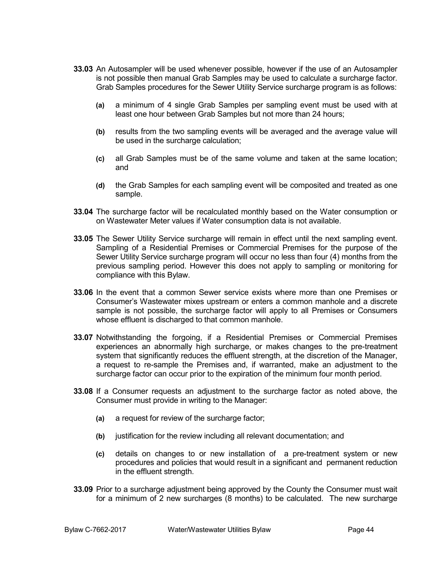- **33.03** An Autosampler will be used whenever possible, however if the use of an Autosampler is not possible then manual Grab Samples may be used to calculate a surcharge factor. Grab Samples procedures for the Sewer Utility Service surcharge program is as follows:
	- **(a)** a minimum of 4 single Grab Samples per sampling event must be used with at least one hour between Grab Samples but not more than 24 hours;
	- **(b)** results from the two sampling events will be averaged and the average value will be used in the surcharge calculation;
	- **(c)** all Grab Samples must be of the same volume and taken at the same location; and
	- **(d)** the Grab Samples for each sampling event will be composited and treated as one sample.
- **33.04** The surcharge factor will be recalculated monthly based on the Water consumption or on Wastewater Meter values if Water consumption data is not available.
- **33.05** The Sewer Utility Service surcharge will remain in effect until the next sampling event. Sampling of a Residential Premises or Commercial Premises for the purpose of the Sewer Utility Service surcharge program will occur no less than four (4) months from the previous sampling period. However this does not apply to sampling or monitoring for compliance with this Bylaw.
- **33.06** In the event that a common Sewer service exists where more than one Premises or Consumer's Wastewater mixes upstream or enters a common manhole and a discrete sample is not possible, the surcharge factor will apply to all Premises or Consumers whose effluent is discharged to that common manhole.
- **33.07** Notwithstanding the forgoing, if a Residential Premises or Commercial Premises experiences an abnormally high surcharge, or makes changes to the pre-treatment system that significantly reduces the effluent strength, at the discretion of the Manager, a request to re-sample the Premises and, if warranted, make an adjustment to the surcharge factor can occur prior to the expiration of the minimum four month period.
- **33.08** If a Consumer requests an adjustment to the surcharge factor as noted above, the Consumer must provide in writing to the Manager:
	- **(a)** a request for review of the surcharge factor;
	- **(b)** justification for the review including all relevant documentation; and
	- **(c)** details on changes to or new installation of a pre-treatment system or new procedures and policies that would result in a significant and permanent reduction in the effluent strength.
- **33.09** Prior to a surcharge adjustment being approved by the County the Consumer must wait for a minimum of 2 new surcharges (8 months) to be calculated. The new surcharge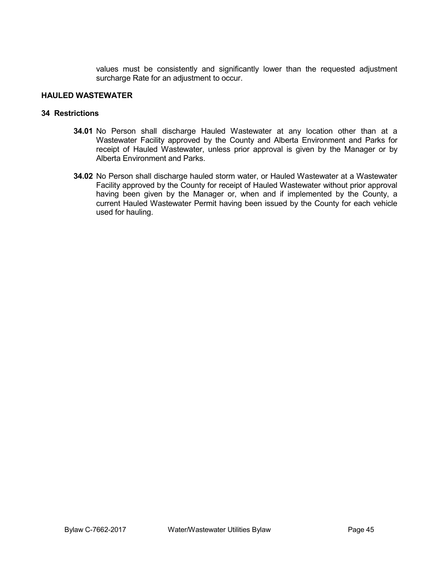values must be consistently and significantly lower than the requested adjustment surcharge Rate for an adjustment to occur.

# **HAULED WASTEWATER**

# **34 Restrictions**

- **34.01** No Person shall discharge Hauled Wastewater at any location other than at a Wastewater Facility approved by the County and Alberta Environment and Parks for receipt of Hauled Wastewater, unless prior approval is given by the Manager or by Alberta Environment and Parks.
- **34.02** No Person shall discharge hauled storm water, or Hauled Wastewater at a Wastewater Facility approved by the County for receipt of Hauled Wastewater without prior approval having been given by the Manager or, when and if implemented by the County, a current Hauled Wastewater Permit having been issued by the County for each vehicle used for hauling.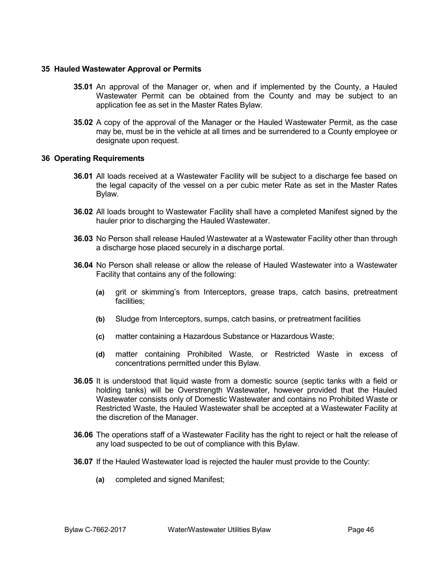## **35 Hauled Wastewater Approval or Permits**

- **35.01** An approval of the Manager or, when and if implemented by the County, a Hauled Wastewater Permit can be obtained from the County and may be subject to an application fee as set in the Master Rates Bylaw.
- **35.02** A copy of the approval of the Manager or the Hauled Wastewater Permit, as the case may be, must be in the vehicle at all times and be surrendered to a County employee or designate upon request.

# **36 Operating Requirements**

- **36.01** All loads received at a Wastewater Facility will be subject to a discharge fee based on the legal capacity of the vessel on a per cubic meter Rate as set in the Master Rates Bylaw.
- **36.02** All loads brought to Wastewater Facility shall have a completed Manifest signed by the hauler prior to discharging the Hauled Wastewater.
- **36.03** No Person shall release Hauled Wastewater at a Wastewater Facility other than through a discharge hose placed securely in a discharge portal.
- **36.04** No Person shall release or allow the release of Hauled Wastewater into a Wastewater Facility that contains any of the following:
	- **(a)** grit or skimming's from Interceptors, grease traps, catch basins, pretreatment facilities;
	- **(b)** Sludge from Interceptors, sumps, catch basins, or pretreatment facilities
	- **(c)** matter containing a Hazardous Substance or Hazardous Waste;
	- **(d)** matter containing Prohibited Waste, or Restricted Waste in excess of concentrations permitted under this Bylaw.
- **36.05** It is understood that liquid waste from a domestic source (septic tanks with a field or holding tanks) will be Overstrength Wastewater, however provided that the Hauled Wastewater consists only of Domestic Wastewater and contains no Prohibited Waste or Restricted Waste, the Hauled Wastewater shall be accepted at a Wastewater Facility at the discretion of the Manager.
- **36.06** The operations staff of a Wastewater Facility has the right to reject or halt the release of any load suspected to be out of compliance with this Bylaw.
- **36.07** If the Hauled Wastewater load is rejected the hauler must provide to the County:
	- **(a)** completed and signed Manifest;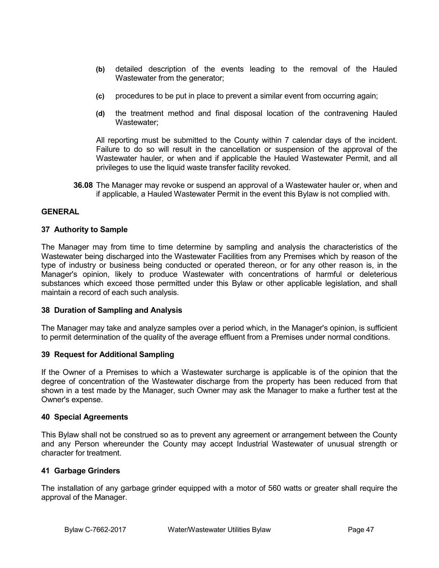- **(b)** detailed description of the events leading to the removal of the Hauled Wastewater from the generator;
- **(c)** procedures to be put in place to prevent a similar event from occurring again;
- **(d)** the treatment method and final disposal location of the contravening Hauled Wastewater;

All reporting must be submitted to the County within 7 calendar days of the incident. Failure to do so will result in the cancellation or suspension of the approval of the Wastewater hauler, or when and if applicable the Hauled Wastewater Permit, and all privileges to use the liquid waste transfer facility revoked.

**36.08** The Manager may revoke or suspend an approval of a Wastewater hauler or, when and if applicable, a Hauled Wastewater Permit in the event this Bylaw is not complied with.

## **GENERAL**

#### **37 Authority to Sample**

The Manager may from time to time determine by sampling and analysis the characteristics of the Wastewater being discharged into the Wastewater Facilities from any Premises which by reason of the type of industry or business being conducted or operated thereon, or for any other reason is, in the Manager's opinion, likely to produce Wastewater with concentrations of harmful or deleterious substances which exceed those permitted under this Bylaw or other applicable legislation, and shall maintain a record of each such analysis.

## **38 Duration of Sampling and Analysis**

The Manager may take and analyze samples over a period which, in the Manager's opinion, is sufficient to permit determination of the quality of the average effluent from a Premises under normal conditions.

## **39 Request for Additional Sampling**

If the Owner of a Premises to which a Wastewater surcharge is applicable is of the opinion that the degree of concentration of the Wastewater discharge from the property has been reduced from that shown in a test made by the Manager, such Owner may ask the Manager to make a further test at the Owner's expense.

#### **40 Special Agreements**

This Bylaw shall not be construed so as to prevent any agreement or arrangement between the County and any Person whereunder the County may accept Industrial Wastewater of unusual strength or character for treatment.

## **41 Garbage Grinders**

The installation of any garbage grinder equipped with a motor of 560 watts or greater shall require the approval of the Manager.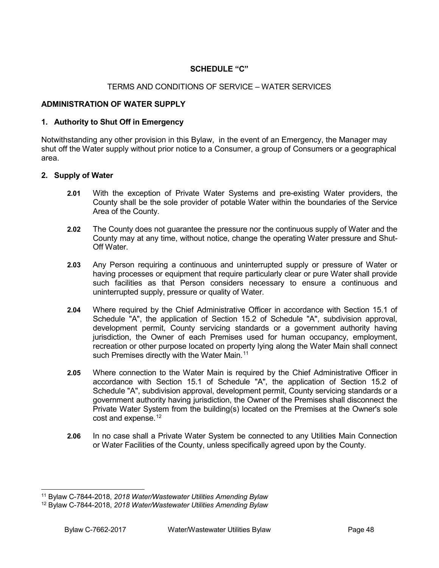# **SCHEDULE "C"**

# TERMS AND CONDITIONS OF SERVICE – WATER SERVICES

# **ADMINISTRATION OF WATER SUPPLY**

### **1. Authority to Shut Off in Emergency**

Notwithstanding any other provision in this Bylaw, in the event of an Emergency, the Manager may shut off the Water supply without prior notice to a Consumer, a group of Consumers or a geographical area.

#### **2. Supply of Water**

- **2.01** With the exception of Private Water Systems and pre-existing Water providers, the County shall be the sole provider of potable Water within the boundaries of the Service Area of the County.
- **2.02** The County does not guarantee the pressure nor the continuous supply of Water and the County may at any time, without notice, change the operating Water pressure and Shut-Off Water.
- **2.03** Any Person requiring a continuous and uninterrupted supply or pressure of Water or having processes or equipment that require particularly clear or pure Water shall provide such facilities as that Person considers necessary to ensure a continuous and uninterrupted supply, pressure or quality of Water.
- **2.04** Where required by the Chief Administrative Officer in accordance with Section 15.1 of Schedule "A", the application of Section 15.2 of Schedule "A", subdivision approval, development permit, County servicing standards or a government authority having jurisdiction, the Owner of each Premises used for human occupancy, employment, recreation or other purpose located on property lying along the Water Main shall connect such Premises directly with the Water Main.<sup>[11](#page-47-0)</sup>
- **2.05** Where connection to the Water Main is required by the Chief Administrative Officer in accordance with Section 15.1 of Schedule "A", the application of Section 15.2 of Schedule "A", subdivision approval, development permit, County servicing standards or a government authority having jurisdiction, the Owner of the Premises shall disconnect the Private Water System from the building(s) located on the Premises at the Owner's sole cost and expense.<sup>[12](#page-47-1)</sup>
- **2.06** In no case shall a Private Water System be connected to any Utilities Main Connection or Water Facilities of the County, unless specifically agreed upon by the County.

<span id="page-47-0"></span> <sup>11</sup> Bylaw C-7844-2018, *2018 Water/Wastewater Utilities Amending Bylaw*

<span id="page-47-1"></span><sup>12</sup> Bylaw C-7844-2018, *2018 Water/Wastewater Utilities Amending Bylaw*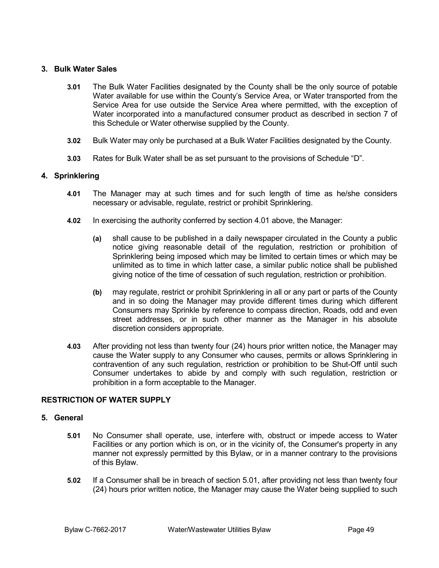# **3. Bulk Water Sales**

- **3.01** The Bulk Water Facilities designated by the County shall be the only source of potable Water available for use within the County's Service Area, or Water transported from the Service Area for use outside the Service Area where permitted, with the exception of Water incorporated into a manufactured consumer product as described in section 7 of this Schedule or Water otherwise supplied by the County.
- **3.02** Bulk Water may only be purchased at a Bulk Water Facilities designated by the County.
- **3.03** Rates for Bulk Water shall be as set pursuant to the provisions of Schedule "D".

# **4. Sprinklering**

- **4.01** The Manager may at such times and for such length of time as he/she considers necessary or advisable, regulate, restrict or prohibit Sprinklering.
- **4.02** In exercising the authority conferred by section 4.01 above, the Manager:
	- **(a)** shall cause to be published in a daily newspaper circulated in the County a public notice giving reasonable detail of the regulation, restriction or prohibition of Sprinklering being imposed which may be limited to certain times or which may be unlimited as to time in which latter case, a similar public notice shall be published giving notice of the time of cessation of such regulation, restriction or prohibition.
	- **(b)** may regulate, restrict or prohibit Sprinklering in all or any part or parts of the County and in so doing the Manager may provide different times during which different Consumers may Sprinkle by reference to compass direction, Roads, odd and even street addresses, or in such other manner as the Manager in his absolute discretion considers appropriate.
- **4.03** After providing not less than twenty four (24) hours prior written notice, the Manager may cause the Water supply to any Consumer who causes, permits or allows Sprinklering in contravention of any such regulation, restriction or prohibition to be Shut-Off until such Consumer undertakes to abide by and comply with such regulation, restriction or prohibition in a form acceptable to the Manager.

## **RESTRICTION OF WATER SUPPLY**

## **5. General**

- **5.01** No Consumer shall operate, use, interfere with, obstruct or impede access to Water Facilities or any portion which is on, or in the vicinity of, the Consumer's property in any manner not expressly permitted by this Bylaw, or in a manner contrary to the provisions of this Bylaw.
- **5.02** If a Consumer shall be in breach of section 5.01, after providing not less than twenty four (24) hours prior written notice, the Manager may cause the Water being supplied to such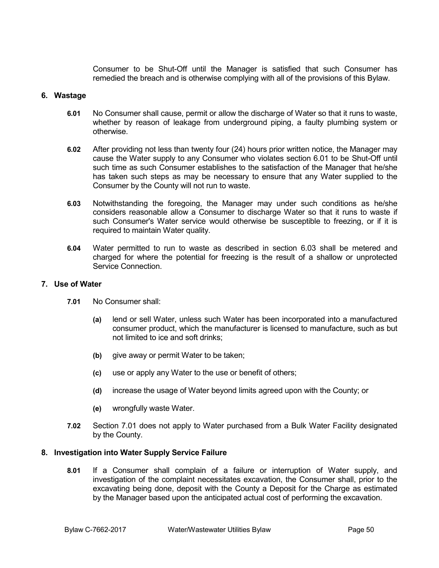Consumer to be Shut-Off until the Manager is satisfied that such Consumer has remedied the breach and is otherwise complying with all of the provisions of this Bylaw.

## **6. Wastage**

- **6.01** No Consumer shall cause, permit or allow the discharge of Water so that it runs to waste, whether by reason of leakage from underground piping, a faulty plumbing system or otherwise.
- **6.02** After providing not less than twenty four (24) hours prior written notice, the Manager may cause the Water supply to any Consumer who violates section 6.01 to be Shut-Off until such time as such Consumer establishes to the satisfaction of the Manager that he/she has taken such steps as may be necessary to ensure that any Water supplied to the Consumer by the County will not run to waste.
- **6.03** Notwithstanding the foregoing, the Manager may under such conditions as he/she considers reasonable allow a Consumer to discharge Water so that it runs to waste if such Consumer's Water service would otherwise be susceptible to freezing, or if it is required to maintain Water quality.
- **6.04** Water permitted to run to waste as described in section 6.03 shall be metered and charged for where the potential for freezing is the result of a shallow or unprotected Service Connection.

## **7. Use of Water**

- **7.01** No Consumer shall:
	- **(a)** lend or sell Water, unless such Water has been incorporated into a manufactured consumer product, which the manufacturer is licensed to manufacture, such as but not limited to ice and soft drinks;
	- **(b)** give away or permit Water to be taken;
	- **(c)** use or apply any Water to the use or benefit of others;
	- **(d)** increase the usage of Water beyond limits agreed upon with the County; or
	- **(e)** wrongfully waste Water.
- **7.02** Section 7.01 does not apply to Water purchased from a Bulk Water Facility designated by the County.

## **8. Investigation into Water Supply Service Failure**

**8.01** If a Consumer shall complain of a failure or interruption of Water supply, and investigation of the complaint necessitates excavation, the Consumer shall, prior to the excavating being done, deposit with the County a Deposit for the Charge as estimated by the Manager based upon the anticipated actual cost of performing the excavation.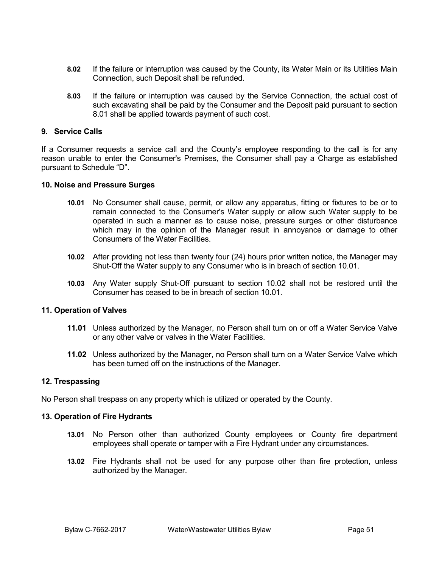- **8.02** If the failure or interruption was caused by the County, its Water Main or its Utilities Main Connection, such Deposit shall be refunded.
- **8.03** If the failure or interruption was caused by the Service Connection, the actual cost of such excavating shall be paid by the Consumer and the Deposit paid pursuant to section 8.01 shall be applied towards payment of such cost.

## **9. Service Calls**

If a Consumer requests a service call and the County's employee responding to the call is for any reason unable to enter the Consumer's Premises, the Consumer shall pay a Charge as established pursuant to Schedule "D".

## **10. Noise and Pressure Surges**

- **10.01** No Consumer shall cause, permit, or allow any apparatus, fitting or fixtures to be or to remain connected to the Consumer's Water supply or allow such Water supply to be operated in such a manner as to cause noise, pressure surges or other disturbance which may in the opinion of the Manager result in annoyance or damage to other Consumers of the Water Facilities.
- **10.02** After providing not less than twenty four (24) hours prior written notice, the Manager may Shut-Off the Water supply to any Consumer who is in breach of section 10.01.
- **10.03** Any Water supply Shut-Off pursuant to section 10.02 shall not be restored until the Consumer has ceased to be in breach of section 10.01.

## **11. Operation of Valves**

- **11.01** Unless authorized by the Manager, no Person shall turn on or off a Water Service Valve or any other valve or valves in the Water Facilities.
- **11.02** Unless authorized by the Manager, no Person shall turn on a Water Service Valve which has been turned off on the instructions of the Manager.

## **12. Trespassing**

No Person shall trespass on any property which is utilized or operated by the County.

## **13. Operation of Fire Hydrants**

- **13.01** No Person other than authorized County employees or County fire department employees shall operate or tamper with a Fire Hydrant under any circumstances.
- **13.02** Fire Hydrants shall not be used for any purpose other than fire protection, unless authorized by the Manager.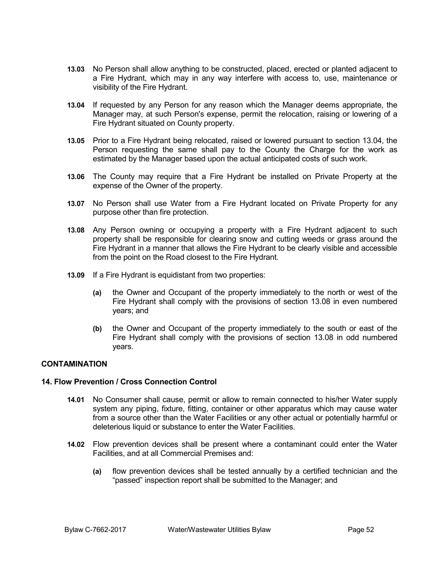- **13.03** No Person shall allow anything to be constructed, placed, erected or planted adjacent to a Fire Hydrant, which may in any way interfere with access to, use, maintenance or visibility of the Fire Hydrant.
- **13.04** If requested by any Person for any reason which the Manager deems appropriate, the Manager may, at such Person's expense, permit the relocation, raising or lowering of a Fire Hydrant situated on County property.
- **13.05** Prior to a Fire Hydrant being relocated, raised or lowered pursuant to section 13.04, the Person requesting the same shall pay to the County the Charge for the work as estimated by the Manager based upon the actual anticipated costs of such work.
- **13.06** The County may require that a Fire Hydrant be installed on Private Property at the expense of the Owner of the property.
- **13.07** No Person shall use Water from a Fire Hydrant located on Private Property for any purpose other than fire protection.
- **13.08** Any Person owning or occupying a property with a Fire Hydrant adjacent to such property shall be responsible for clearing snow and cutting weeds or grass around the Fire Hydrant in a manner that allows the Fire Hydrant to be clearly visible and accessible from the point on the Road closest to the Fire Hydrant.
- **13.09** If a Fire Hydrant is equidistant from two properties:
	- **(a)** the Owner and Occupant of the property immediately to the north or west of the Fire Hydrant shall comply with the provisions of section 13.08 in even numbered years; and
	- **(b)** the Owner and Occupant of the property immediately to the south or east of the Fire Hydrant shall comply with the provisions of section 13.08 in odd numbered years.

# **CONTAMINATION**

## **14. Flow Prevention / Cross Connection Control**

- **14.01** No Consumer shall cause, permit or allow to remain connected to his/her Water supply system any piping, fixture, fitting, container or other apparatus which may cause water from a source other than the Water Facilities or any other actual or potentially harmful or deleterious liquid or substance to enter the Water Facilities.
- **14.02** Flow prevention devices shall be present where a contaminant could enter the Water Facilities, and at all Commercial Premises and:
	- **(a)** flow prevention devices shall be tested annually by a certified technician and the "passed" inspection report shall be submitted to the Manager; and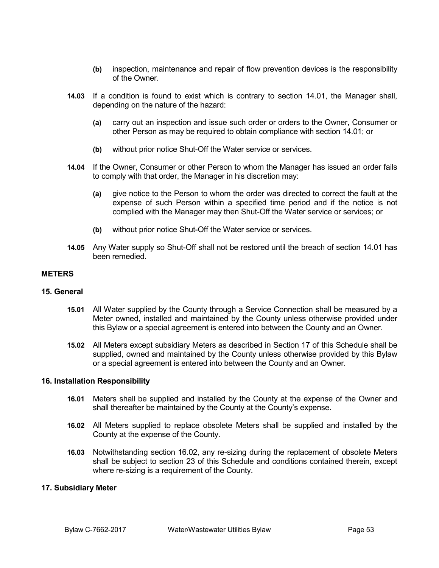- **(b)** inspection, maintenance and repair of flow prevention devices is the responsibility of the Owner.
- **14.03** If a condition is found to exist which is contrary to section 14.01, the Manager shall, depending on the nature of the hazard:
	- **(a)** carry out an inspection and issue such order or orders to the Owner, Consumer or other Person as may be required to obtain compliance with section 14.01; or
	- **(b)** without prior notice Shut-Off the Water service or services.
- **14.04** If the Owner, Consumer or other Person to whom the Manager has issued an order fails to comply with that order, the Manager in his discretion may:
	- **(a)** give notice to the Person to whom the order was directed to correct the fault at the expense of such Person within a specified time period and if the notice is not complied with the Manager may then Shut-Off the Water service or services; or
	- **(b)** without prior notice Shut-Off the Water service or services.
- **14.05** Any Water supply so Shut-Off shall not be restored until the breach of section 14.01 has been remedied.

#### **METERS**

### **15. General**

- **15.01** All Water supplied by the County through a Service Connection shall be measured by a Meter owned, installed and maintained by the County unless otherwise provided under this Bylaw or a special agreement is entered into between the County and an Owner.
- **15.02** All Meters except subsidiary Meters as described in Section 17 of this Schedule shall be supplied, owned and maintained by the County unless otherwise provided by this Bylaw or a special agreement is entered into between the County and an Owner.

#### **16. Installation Responsibility**

- **16.01** Meters shall be supplied and installed by the County at the expense of the Owner and shall thereafter be maintained by the County at the County's expense.
- **16.02** All Meters supplied to replace obsolete Meters shall be supplied and installed by the County at the expense of the County.
- **16.03** Notwithstanding section 16.02, any re-sizing during the replacement of obsolete Meters shall be subject to section 23 of this Schedule and conditions contained therein, except where re-sizing is a requirement of the County.

#### **17. Subsidiary Meter**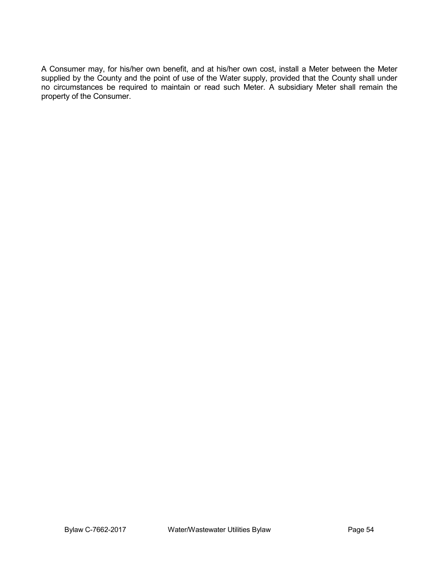A Consumer may, for his/her own benefit, and at his/her own cost, install a Meter between the Meter supplied by the County and the point of use of the Water supply, provided that the County shall under no circumstances be required to maintain or read such Meter. A subsidiary Meter shall remain the property of the Consumer.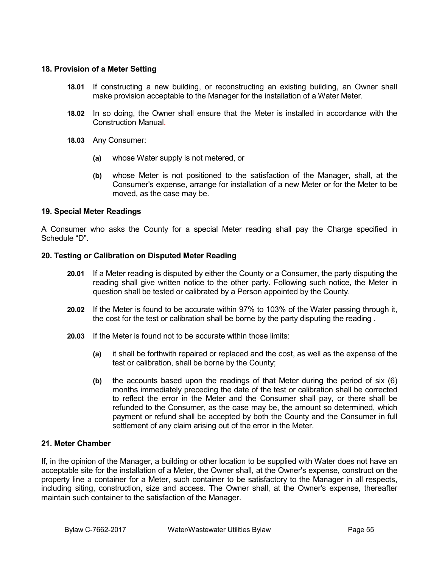# **18. Provision of a Meter Setting**

- **18.01** If constructing a new building, or reconstructing an existing building, an Owner shall make provision acceptable to the Manager for the installation of a Water Meter.
- **18.02** In so doing, the Owner shall ensure that the Meter is installed in accordance with the Construction Manual.
- **18.03** Any Consumer:
	- **(a)** whose Water supply is not metered, or
	- **(b)** whose Meter is not positioned to the satisfaction of the Manager, shall, at the Consumer's expense, arrange for installation of a new Meter or for the Meter to be moved, as the case may be.

# **19. Special Meter Readings**

A Consumer who asks the County for a special Meter reading shall pay the Charge specified in Schedule "D".

## **20. Testing or Calibration on Disputed Meter Reading**

- **20.01** If a Meter reading is disputed by either the County or a Consumer, the party disputing the reading shall give written notice to the other party. Following such notice, the Meter in question shall be tested or calibrated by a Person appointed by the County.
- **20.02** If the Meter is found to be accurate within 97% to 103% of the Water passing through it, the cost for the test or calibration shall be borne by the party disputing the reading .
- **20.03** If the Meter is found not to be accurate within those limits:
	- **(a)** it shall be forthwith repaired or replaced and the cost, as well as the expense of the test or calibration, shall be borne by the County;
	- **(b)** the accounts based upon the readings of that Meter during the period of six (6) months immediately preceding the date of the test or calibration shall be corrected to reflect the error in the Meter and the Consumer shall pay, or there shall be refunded to the Consumer, as the case may be, the amount so determined, which payment or refund shall be accepted by both the County and the Consumer in full settlement of any claim arising out of the error in the Meter.

## **21. Meter Chamber**

If, in the opinion of the Manager, a building or other location to be supplied with Water does not have an acceptable site for the installation of a Meter, the Owner shall, at the Owner's expense, construct on the property line a container for a Meter, such container to be satisfactory to the Manager in all respects, including siting, construction, size and access. The Owner shall, at the Owner's expense, thereafter maintain such container to the satisfaction of the Manager.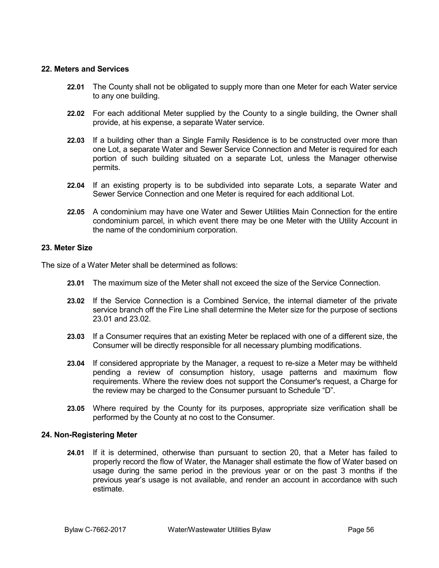## **22. Meters and Services**

- **22.01** The County shall not be obligated to supply more than one Meter for each Water service to any one building.
- **22.02** For each additional Meter supplied by the County to a single building, the Owner shall provide, at his expense, a separate Water service.
- **22.03** If a building other than a Single Family Residence is to be constructed over more than one Lot, a separate Water and Sewer Service Connection and Meter is required for each portion of such building situated on a separate Lot, unless the Manager otherwise permits.
- **22.04** If an existing property is to be subdivided into separate Lots, a separate Water and Sewer Service Connection and one Meter is required for each additional Lot.
- **22.05** A condominium may have one Water and Sewer Utilities Main Connection for the entire condominium parcel, in which event there may be one Meter with the Utility Account in the name of the condominium corporation.

## **23. Meter Size**

The size of a Water Meter shall be determined as follows:

- **23.01** The maximum size of the Meter shall not exceed the size of the Service Connection.
- **23.02** If the Service Connection is a Combined Service, the internal diameter of the private service branch off the Fire Line shall determine the Meter size for the purpose of sections 23.01 and 23.02.
- **23.03** If a Consumer requires that an existing Meter be replaced with one of a different size, the Consumer will be directly responsible for all necessary plumbing modifications.
- **23.04** If considered appropriate by the Manager, a request to re-size a Meter may be withheld pending a review of consumption history, usage patterns and maximum flow requirements. Where the review does not support the Consumer's request, a Charge for the review may be charged to the Consumer pursuant to Schedule "D".
- **23.05** Where required by the County for its purposes, appropriate size verification shall be performed by the County at no cost to the Consumer.

## **24. Non-Registering Meter**

**24.01** If it is determined, otherwise than pursuant to section 20, that a Meter has failed to properly record the flow of Water, the Manager shall estimate the flow of Water based on usage during the same period in the previous year or on the past 3 months if the previous year's usage is not available, and render an account in accordance with such estimate.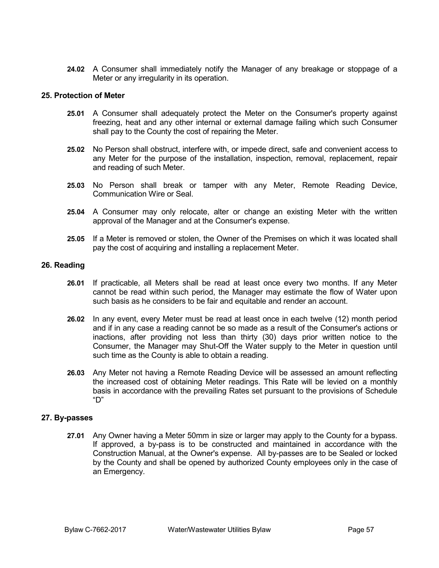**24.02** A Consumer shall immediately notify the Manager of any breakage or stoppage of a Meter or any irregularity in its operation.

#### **25. Protection of Meter**

- **25.01** A Consumer shall adequately protect the Meter on the Consumer's property against freezing, heat and any other internal or external damage failing which such Consumer shall pay to the County the cost of repairing the Meter.
- **25.02** No Person shall obstruct, interfere with, or impede direct, safe and convenient access to any Meter for the purpose of the installation, inspection, removal, replacement, repair and reading of such Meter.
- **25.03** No Person shall break or tamper with any Meter, Remote Reading Device, Communication Wire or Seal.
- **25.04** A Consumer may only relocate, alter or change an existing Meter with the written approval of the Manager and at the Consumer's expense.
- **25.05** If a Meter is removed or stolen, the Owner of the Premises on which it was located shall pay the cost of acquiring and installing a replacement Meter.

#### **26. Reading**

- **26.01** If practicable, all Meters shall be read at least once every two months. If any Meter cannot be read within such period, the Manager may estimate the flow of Water upon such basis as he considers to be fair and equitable and render an account.
- **26.02** In any event, every Meter must be read at least once in each twelve (12) month period and if in any case a reading cannot be so made as a result of the Consumer's actions or inactions, after providing not less than thirty (30) days prior written notice to the Consumer, the Manager may Shut-Off the Water supply to the Meter in question until such time as the County is able to obtain a reading.
- **26.03** Any Meter not having a Remote Reading Device will be assessed an amount reflecting the increased cost of obtaining Meter readings. This Rate will be levied on a monthly basis in accordance with the prevailing Rates set pursuant to the provisions of Schedule "D"

## **27. By-passes**

**27.01** Any Owner having a Meter 50mm in size or larger may apply to the County for a bypass. If approved, a by-pass is to be constructed and maintained in accordance with the Construction Manual, at the Owner's expense. All by-passes are to be Sealed or locked by the County and shall be opened by authorized County employees only in the case of an Emergency.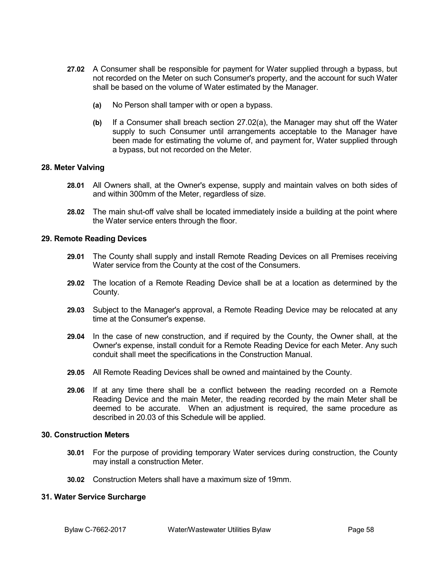- **27.02** A Consumer shall be responsible for payment for Water supplied through a bypass, but not recorded on the Meter on such Consumer's property, and the account for such Water shall be based on the volume of Water estimated by the Manager.
	- **(a)** No Person shall tamper with or open a bypass.
	- **(b)** If a Consumer shall breach section 27.02(a), the Manager may shut off the Water supply to such Consumer until arrangements acceptable to the Manager have been made for estimating the volume of, and payment for, Water supplied through a bypass, but not recorded on the Meter.

## **28. Meter Valving**

- **28.01** All Owners shall, at the Owner's expense, supply and maintain valves on both sides of and within 300mm of the Meter, regardless of size.
- **28.02** The main shut-off valve shall be located immediately inside a building at the point where the Water service enters through the floor.

## **29. Remote Reading Devices**

- **29.01** The County shall supply and install Remote Reading Devices on all Premises receiving Water service from the County at the cost of the Consumers.
- **29.02** The location of a Remote Reading Device shall be at a location as determined by the County.
- **29.03** Subject to the Manager's approval, a Remote Reading Device may be relocated at any time at the Consumer's expense.
- **29.04** In the case of new construction, and if required by the County, the Owner shall, at the Owner's expense, install conduit for a Remote Reading Device for each Meter. Any such conduit shall meet the specifications in the Construction Manual.
- **29.05** All Remote Reading Devices shall be owned and maintained by the County.
- **29.06** If at any time there shall be a conflict between the reading recorded on a Remote Reading Device and the main Meter, the reading recorded by the main Meter shall be deemed to be accurate. When an adjustment is required, the same procedure as described in 20.03 of this Schedule will be applied.

## **30. Construction Meters**

- **30.01** For the purpose of providing temporary Water services during construction, the County may install a construction Meter.
- **30.02** Construction Meters shall have a maximum size of 19mm.

## **31. Water Service Surcharge**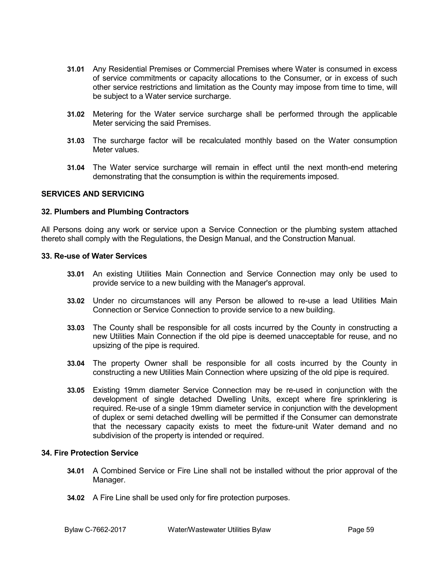- **31.01** Any Residential Premises or Commercial Premises where Water is consumed in excess of service commitments or capacity allocations to the Consumer, or in excess of such other service restrictions and limitation as the County may impose from time to time, will be subject to a Water service surcharge.
- **31.02** Metering for the Water service surcharge shall be performed through the applicable Meter servicing the said Premises.
- **31.03** The surcharge factor will be recalculated monthly based on the Water consumption Meter values.
- **31.04** The Water service surcharge will remain in effect until the next month-end metering demonstrating that the consumption is within the requirements imposed.

# **SERVICES AND SERVICING**

#### **32. Plumbers and Plumbing Contractors**

All Persons doing any work or service upon a Service Connection or the plumbing system attached thereto shall comply with the Regulations, the Design Manual, and the Construction Manual.

#### **33. Re-use of Water Services**

- **33.01** An existing Utilities Main Connection and Service Connection may only be used to provide service to a new building with the Manager's approval.
- **33.02** Under no circumstances will any Person be allowed to re-use a lead Utilities Main Connection or Service Connection to provide service to a new building.
- **33.03** The County shall be responsible for all costs incurred by the County in constructing a new Utilities Main Connection if the old pipe is deemed unacceptable for reuse, and no upsizing of the pipe is required.
- **33.04** The property Owner shall be responsible for all costs incurred by the County in constructing a new Utilities Main Connection where upsizing of the old pipe is required.
- **33.05** Existing 19mm diameter Service Connection may be re-used in conjunction with the development of single detached Dwelling Units, except where fire sprinklering is required. Re-use of a single 19mm diameter service in conjunction with the development of duplex or semi detached dwelling will be permitted if the Consumer can demonstrate that the necessary capacity exists to meet the fixture-unit Water demand and no subdivision of the property is intended or required.

#### **34. Fire Protection Service**

- **34.01** A Combined Service or Fire Line shall not be installed without the prior approval of the Manager.
- **34.02** A Fire Line shall be used only for fire protection purposes.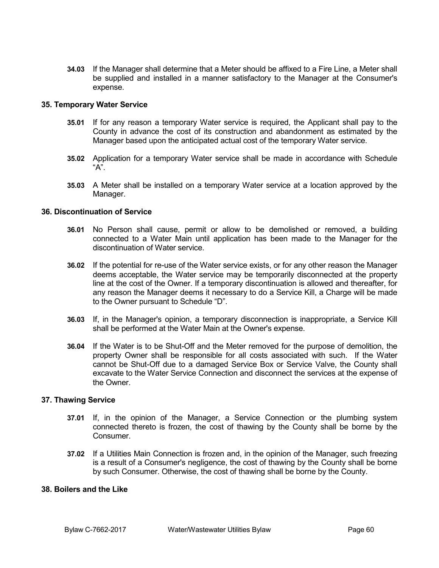**34.03** If the Manager shall determine that a Meter should be affixed to a Fire Line, a Meter shall be supplied and installed in a manner satisfactory to the Manager at the Consumer's expense.

# **35. Temporary Water Service**

- **35.01** If for any reason a temporary Water service is required, the Applicant shall pay to the County in advance the cost of its construction and abandonment as estimated by the Manager based upon the anticipated actual cost of the temporary Water service.
- **35.02** Application for a temporary Water service shall be made in accordance with Schedule "A".
- **35.03** A Meter shall be installed on a temporary Water service at a location approved by the Manager.

# **36. Discontinuation of Service**

- **36.01** No Person shall cause, permit or allow to be demolished or removed, a building connected to a Water Main until application has been made to the Manager for the discontinuation of Water service.
- **36.02** If the potential for re-use of the Water service exists, or for any other reason the Manager deems acceptable, the Water service may be temporarily disconnected at the property line at the cost of the Owner. If a temporary discontinuation is allowed and thereafter, for any reason the Manager deems it necessary to do a Service Kill, a Charge will be made to the Owner pursuant to Schedule "D".
- **36.03** If, in the Manager's opinion, a temporary disconnection is inappropriate, a Service Kill shall be performed at the Water Main at the Owner's expense.
- **36.04** If the Water is to be Shut-Off and the Meter removed for the purpose of demolition, the property Owner shall be responsible for all costs associated with such. If the Water cannot be Shut-Off due to a damaged Service Box or Service Valve, the County shall excavate to the Water Service Connection and disconnect the services at the expense of the Owner.

## **37. Thawing Service**

- **37.01** If, in the opinion of the Manager, a Service Connection or the plumbing system connected thereto is frozen, the cost of thawing by the County shall be borne by the **Consumer.**
- **37.02** If a Utilities Main Connection is frozen and, in the opinion of the Manager, such freezing is a result of a Consumer's negligence, the cost of thawing by the County shall be borne by such Consumer. Otherwise, the cost of thawing shall be borne by the County.

# **38. Boilers and the Like**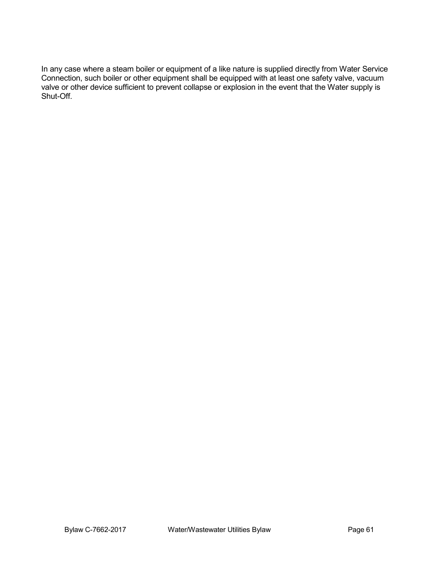In any case where a steam boiler or equipment of a like nature is supplied directly from Water Service Connection, such boiler or other equipment shall be equipped with at least one safety valve, vacuum valve or other device sufficient to prevent collapse or explosion in the event that the Water supply is Shut-Off.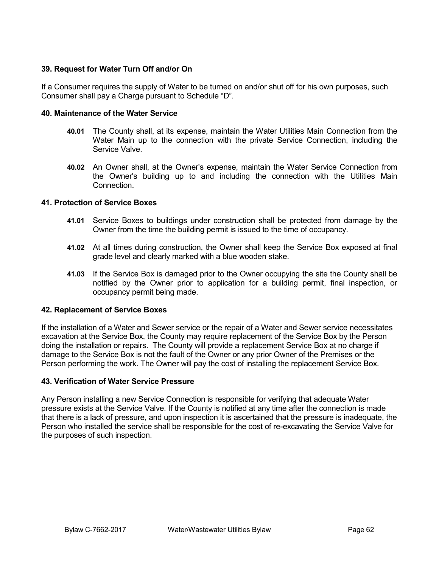# **39. Request for Water Turn Off and/or On**

If a Consumer requires the supply of Water to be turned on and/or shut off for his own purposes, such Consumer shall pay a Charge pursuant to Schedule "D".

# **40. Maintenance of the Water Service**

- **40.01** The County shall, at its expense, maintain the Water Utilities Main Connection from the Water Main up to the connection with the private Service Connection, including the Service Valve.
- **40.02** An Owner shall, at the Owner's expense, maintain the Water Service Connection from the Owner's building up to and including the connection with the Utilities Main Connection.

# **41. Protection of Service Boxes**

- **41.01** Service Boxes to buildings under construction shall be protected from damage by the Owner from the time the building permit is issued to the time of occupancy.
- **41.02** At all times during construction, the Owner shall keep the Service Box exposed at final grade level and clearly marked with a blue wooden stake.
- **41.03** If the Service Box is damaged prior to the Owner occupying the site the County shall be notified by the Owner prior to application for a building permit, final inspection, or occupancy permit being made.

# **42. Replacement of Service Boxes**

If the installation of a Water and Sewer service or the repair of a Water and Sewer service necessitates excavation at the Service Box, the County may require replacement of the Service Box by the Person doing the installation or repairs. The County will provide a replacement Service Box at no charge if damage to the Service Box is not the fault of the Owner or any prior Owner of the Premises or the Person performing the work. The Owner will pay the cost of installing the replacement Service Box.

## **43. Verification of Water Service Pressure**

Any Person installing a new Service Connection is responsible for verifying that adequate Water pressure exists at the Service Valve. If the County is notified at any time after the connection is made that there is a lack of pressure, and upon inspection it is ascertained that the pressure is inadequate, the Person who installed the service shall be responsible for the cost of re-excavating the Service Valve for the purposes of such inspection.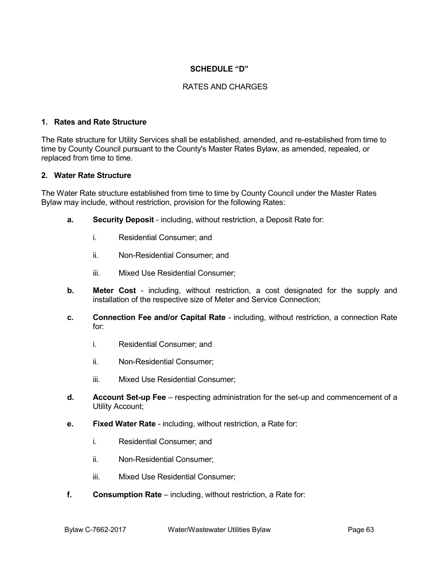# **SCHEDULE "D"**

# RATES AND CHARGES

# **1. Rates and Rate Structure**

The Rate structure for Utility Services shall be established, amended, and re-established from time to time by County Council pursuant to the County's Master Rates Bylaw, as amended, repealed, or replaced from time to time.

#### **2. Water Rate Structure**

The Water Rate structure established from time to time by County Council under the Master Rates Bylaw may include, without restriction, provision for the following Rates:

- **a. Security Deposit** including, without restriction, a Deposit Rate for:
	- i. Residential Consumer; and
	- ii. Non-Residential Consumer; and
	- iii. Mixed Use Residential Consumer;
- **b. Meter Cost** including, without restriction, a cost designated for the supply and installation of the respective size of Meter and Service Connection;
- **c. Connection Fee and/or Capital Rate** including, without restriction, a connection Rate for:
	- i. Residential Consumer; and
	- ii. Non-Residential Consumer;
	- iii. Mixed Use Residential Consumer;
- **d. Account Set-up Fee** respecting administration for the set-up and commencement of a Utility Account;
- **e. Fixed Water Rate** including, without restriction, a Rate for:
	- i. Residential Consumer; and
	- ii. Non-Residential Consumer;
	- iii. Mixed Use Residential Consumer;
- **f. Consumption Rate** including, without restriction, a Rate for: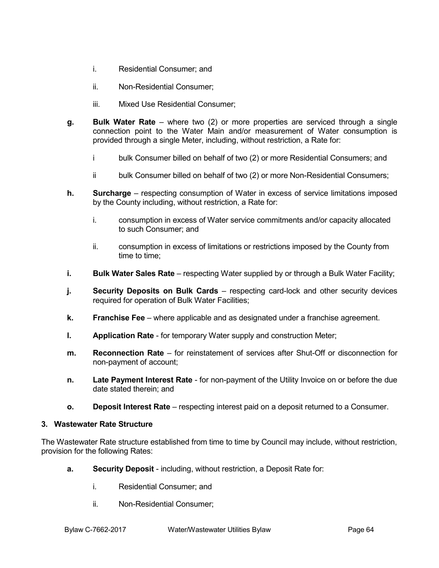- i. Residential Consumer; and
- ii. Non-Residential Consumer;
- iii. Mixed Use Residential Consumer;
- **g. Bulk Water Rate** where two (2) or more properties are serviced through a single connection point to the Water Main and/or measurement of Water consumption is provided through a single Meter, including, without restriction, a Rate for:
	- i bulk Consumer billed on behalf of two (2) or more Residential Consumers; and
	- ii bulk Consumer billed on behalf of two (2) or more Non-Residential Consumers;
- **h. Surcharge** respecting consumption of Water in excess of service limitations imposed by the County including, without restriction, a Rate for:
	- i. consumption in excess of Water service commitments and/or capacity allocated to such Consumer; and
	- ii. consumption in excess of limitations or restrictions imposed by the County from time to time;
- **i. Bulk Water Sales Rate** respecting Water supplied by or through a Bulk Water Facility;
- **j. Security Deposits on Bulk Cards** respecting card-lock and other security devices required for operation of Bulk Water Facilities;
- **k. Franchise Fee** where applicable and as designated under a franchise agreement.
- **l. Application Rate** for temporary Water supply and construction Meter;
- **m. Reconnection Rate** for reinstatement of services after Shut-Off or disconnection for non-payment of account;
- **n. Late Payment Interest Rate** for non-payment of the Utility Invoice on or before the due date stated therein; and
- **o. Deposit Interest Rate** respecting interest paid on a deposit returned to a Consumer.

## **3. Wastewater Rate Structure**

The Wastewater Rate structure established from time to time by Council may include, without restriction, provision for the following Rates:

- **a. Security Deposit** including, without restriction, a Deposit Rate for:
	- i. Residential Consumer; and
	- ii. Non-Residential Consumer;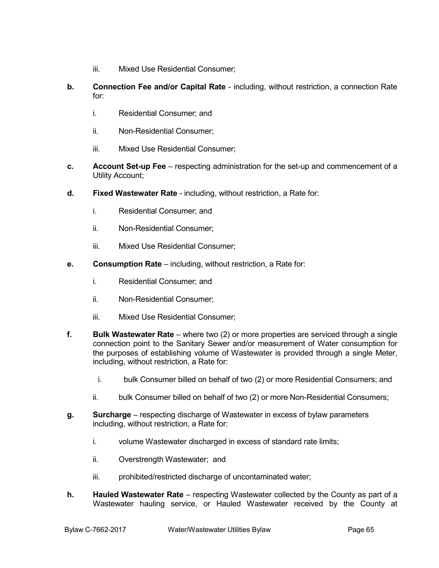- iii. Mixed Use Residential Consumer;
- **b. Connection Fee and/or Capital Rate** including, without restriction, a connection Rate for:
	- i. Residential Consumer; and
	- ii. Non-Residential Consumer;
	- iii. Mixed Use Residential Consumer;
- **c. Account Set-up Fee** respecting administration for the set-up and commencement of a Utility Account;
- **d. Fixed Wastewater Rate** including, without restriction, a Rate for:
	- i. Residential Consumer; and
	- ii. Non-Residential Consumer;
	- iii. Mixed Use Residential Consumer;
- **e. Consumption Rate** including, without restriction, a Rate for:
	- i. Residential Consumer; and
	- ii. Non-Residential Consumer;
	- iii. Mixed Use Residential Consumer;
- **f. Bulk Wastewater Rate** where two (2) or more properties are serviced through a single connection point to the Sanitary Sewer and/or measurement of Water consumption for the purposes of establishing volume of Wastewater is provided through a single Meter, including, without restriction, a Rate for:
	- i. bulk Consumer billed on behalf of two (2) or more Residential Consumers; and
	- ii. bulk Consumer billed on behalf of two (2) or more Non-Residential Consumers;
- **g. Surcharge** respecting discharge of Wastewater in excess of bylaw parameters including, without restriction, a Rate for:
	- i. volume Wastewater discharged in excess of standard rate limits;
	- ii. Overstrength Wastewater; and
	- iii. prohibited/restricted discharge of uncontaminated water;
- **h. Hauled Wastewater Rate** respecting Wastewater collected by the County as part of a Wastewater hauling service, or Hauled Wastewater received by the County at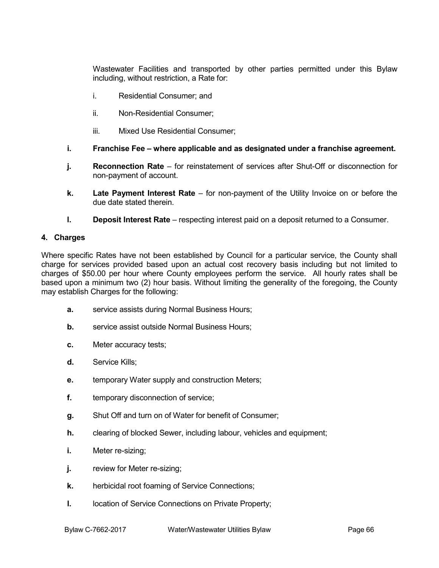Wastewater Facilities and transported by other parties permitted under this Bylaw including, without restriction, a Rate for:

- i. Residential Consumer; and
- ii. Non-Residential Consumer;
- iii. Mixed Use Residential Consumer;
- **i. Franchise Fee – where applicable and as designated under a franchise agreement.**
- **j. Reconnection Rate** for reinstatement of services after Shut-Off or disconnection for non-payment of account.
- **k. Late Payment Interest Rate** for non-payment of the Utility Invoice on or before the due date stated therein.
- **l. Deposit Interest Rate** respecting interest paid on a deposit returned to a Consumer.

## **4. Charges**

Where specific Rates have not been established by Council for a particular service, the County shall charge for services provided based upon an actual cost recovery basis including but not limited to charges of \$50.00 per hour where County employees perform the service. All hourly rates shall be based upon a minimum two (2) hour basis. Without limiting the generality of the foregoing, the County may establish Charges for the following:

- **a.** service assists during Normal Business Hours;
- **b.** service assist outside Normal Business Hours;
- **c.** Meter accuracy tests;
- **d.** Service Kills;
- **e.** temporary Water supply and construction Meters;
- **f.** temporary disconnection of service;
- **g.** Shut Off and turn on of Water for benefit of Consumer;
- **h.** clearing of blocked Sewer, including labour, vehicles and equipment;
- **i.** Meter re-sizing;
- **j.** review for Meter re-sizing;
- **k.** herbicidal root foaming of Service Connections;
- **l.** location of Service Connections on Private Property;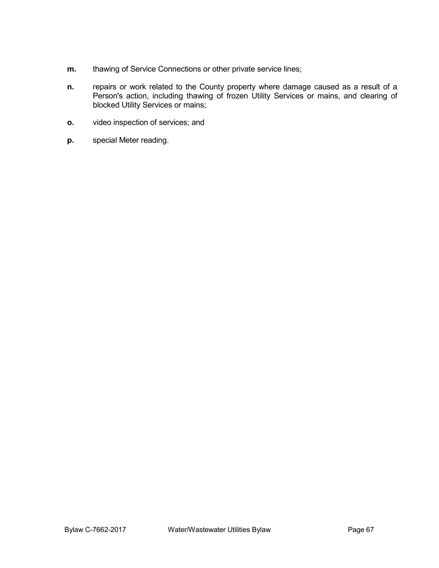- **m.** thawing of Service Connections or other private service lines;
- **n.** repairs or work related to the County property where damage caused as a result of a Person's action, including thawing of frozen Utility Services or mains, and clearing of blocked Utility Services or mains;
- **o.** video inspection of services; and
- **p.** special Meter reading.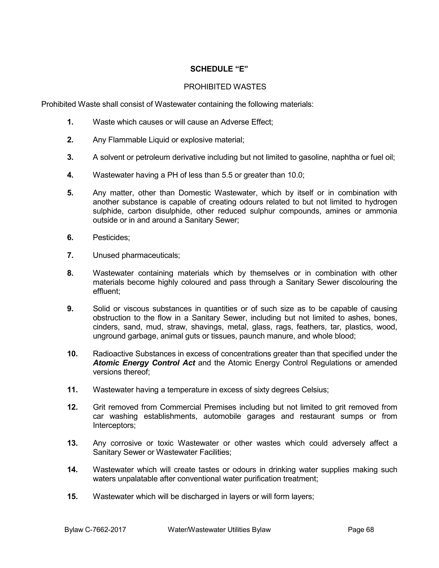# **SCHEDULE "E"**

## PROHIBITED WASTES

Prohibited Waste shall consist of Wastewater containing the following materials:

- **1.** Waste which causes or will cause an Adverse Effect;
- **2.** Any Flammable Liquid or explosive material;
- **3.** A solvent or petroleum derivative including but not limited to gasoline, naphtha or fuel oil;
- **4.** Wastewater having a PH of less than 5.5 or greater than 10.0;
- **5.** Any matter, other than Domestic Wastewater, which by itself or in combination with another substance is capable of creating odours related to but not limited to hydrogen sulphide, carbon disulphide, other reduced sulphur compounds, amines or ammonia outside or in and around a Sanitary Sewer;
- **6.** Pesticides;
- **7.** Unused pharmaceuticals;
- **8.** Wastewater containing materials which by themselves or in combination with other materials become highly coloured and pass through a Sanitary Sewer discolouring the effluent;
- **9.** Solid or viscous substances in quantities or of such size as to be capable of causing obstruction to the flow in a Sanitary Sewer, including but not limited to ashes, bones, cinders, sand, mud, straw, shavings, metal, glass, rags, feathers, tar, plastics, wood, unground garbage, animal guts or tissues, paunch manure, and whole blood;
- **10.** Radioactive Substances in excess of concentrations greater than that specified under the *Atomic Energy Control Act* and the Atomic Energy Control Regulations or amended versions thereof;
- **11.** Wastewater having a temperature in excess of sixty degrees Celsius;
- **12.** Grit removed from Commercial Premises including but not limited to grit removed from car washing establishments, automobile garages and restaurant sumps or from Interceptors;
- **13.** Any corrosive or toxic Wastewater or other wastes which could adversely affect a Sanitary Sewer or Wastewater Facilities;
- **14.** Wastewater which will create tastes or odours in drinking water supplies making such waters unpalatable after conventional water purification treatment;
- **15.** Wastewater which will be discharged in layers or will form layers;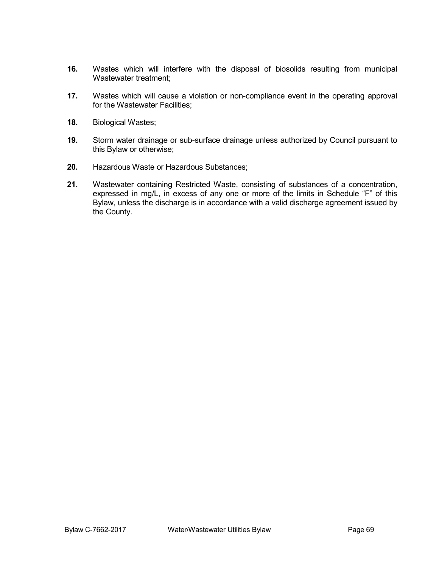- **16.** Wastes which will interfere with the disposal of biosolids resulting from municipal Wastewater treatment;
- **17.** Wastes which will cause a violation or non-compliance event in the operating approval for the Wastewater Facilities;
- **18.** Biological Wastes;
- **19.** Storm water drainage or sub-surface drainage unless authorized by Council pursuant to this Bylaw or otherwise;
- **20.** Hazardous Waste or Hazardous Substances;
- **21.** Wastewater containing Restricted Waste, consisting of substances of a concentration, expressed in mg/L, in excess of any one or more of the limits in Schedule "F" of this Bylaw, unless the discharge is in accordance with a valid discharge agreement issued by the County.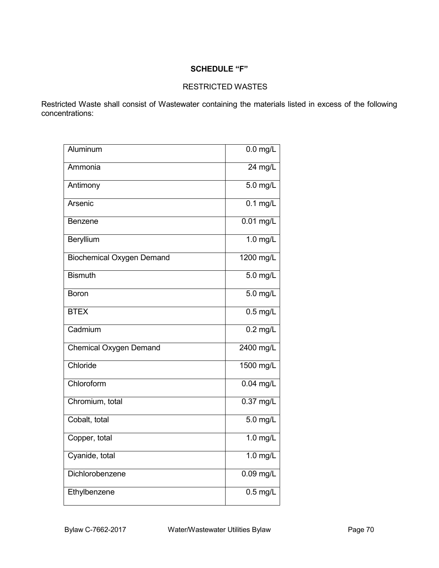# **SCHEDULE "F"**

# RESTRICTED WASTES

Restricted Waste shall consist of Wastewater containing the materials listed in excess of the following concentrations:

| Aluminum                         | $0.0$ mg/L            |
|----------------------------------|-----------------------|
| Ammonia                          | $24$ mg/L             |
| Antimony                         | $5.0$ mg/L            |
| Arsenic                          | $0.1 \text{ mg/L}$    |
| Benzene                          | $0.01$ mg/L           |
| Beryllium                        | $1.0$ mg/L            |
| <b>Biochemical Oxygen Demand</b> | 1200 mg/L             |
| <b>Bismuth</b>                   | 5.0 mg/L              |
| Boron                            | $5.0$ mg/L            |
| <b>BTEX</b>                      | $\overline{0.5}$ mg/L |
| Cadmium                          | $0.2$ mg/L            |
| <b>Chemical Oxygen Demand</b>    | 2400 mg/L             |
| Chloride                         | 1500 mg/L             |
| Chloroform                       | $0.04$ mg/L           |
| Chromium, total                  | $0.37$ mg/L           |
| Cobalt, total                    | $5.0$ mg/L            |
| Copper, total                    | $1.0$ mg/L            |
| Cyanide, total                   | $1.0$ mg/L            |
| Dichlorobenzene                  | $0.09$ mg/L           |
| Ethylbenzene                     | $\overline{0.5}$ mg/L |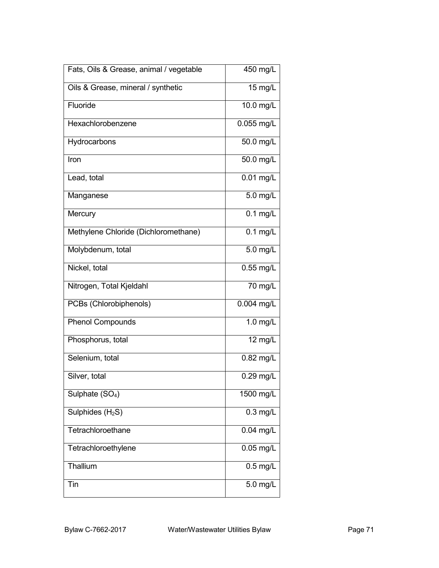| Fats, Oils & Grease, animal / vegetable | 450 mg/L    |
|-----------------------------------------|-------------|
| Oils & Grease, mineral / synthetic      | $15$ mg/L   |
| Fluoride                                | 10.0 mg/L   |
| Hexachlorobenzene                       | 0.055 mg/L  |
| Hydrocarbons                            | 50.0 mg/L   |
| Iron                                    | 50.0 mg/L   |
| Lead, total                             | 0.01 mg/L   |
| Manganese                               | 5.0 mg/L    |
| Mercury                                 | $0.1$ mg/L  |
| Methylene Chloride (Dichloromethane)    | $0.1$ mg/L  |
| Molybdenum, total                       | 5.0 mg/L    |
| Nickel, total                           | $0.55$ mg/L |
| Nitrogen, Total Kjeldahl                | 70 mg/L     |
| PCBs (Chlorobiphenols)                  | 0.004 mg/L  |
| <b>Phenol Compounds</b>                 | 1.0 mg/L    |
| Phosphorus, total                       | 12 mg/L     |
| Selenium, total                         | $0.82$ mg/L |
| Silver, total                           | $0.29$ mg/L |
| Sulphate (SO <sub>4</sub> )             | 1500 mg/L   |
| Sulphides $(H_2S)$                      | $0.3$ mg/L  |
| Tetrachloroethane                       | $0.04$ mg/L |
| Tetrachloroethylene                     | $0.05$ mg/L |
| Thallium                                | $0.5$ mg/L  |
| Tin                                     | 5.0 mg/L    |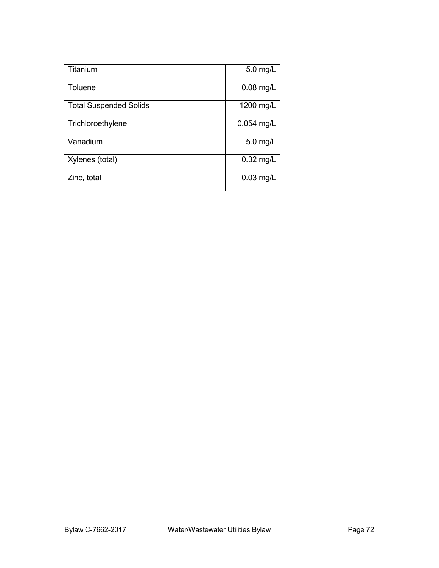| Titanium                      | 5.0 mg/L    |
|-------------------------------|-------------|
| Toluene                       | 0.08 mg/L   |
| <b>Total Suspended Solids</b> | 1200 mg/L   |
| Trichloroethylene             | 0.054 mg/L  |
| Vanadium                      | $5.0$ mg/L  |
| Xylenes (total)               | 0.32 mg/L   |
| Zinc, total                   | $0.03$ mg/L |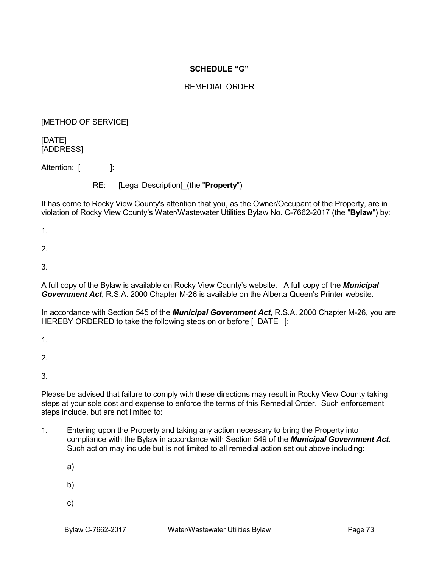## **SCHEDULE "G"**

# REMEDIAL ORDER

## [METHOD OF SERVICE]

[DATE] [ADDRESS]

Attention: [ ]:

RE: [Legal Description]\_(the "**Property**")

It has come to Rocky View County's attention that you, as the Owner/Occupant of the Property, are in violation of Rocky View County's Water/Wastewater Utilities Bylaw No. C-7662-2017 (the "**Bylaw**") by:

1.

2.

3.

A full copy of the Bylaw is available on Rocky View County's website. A full copy of the *Municipal Government Act*, R.S.A. 2000 Chapter M-26 is available on the Alberta Queen's Printer website.

In accordance with Section 545 of the *Municipal Government Act*, R.S.A. 2000 Chapter M-26, you are HEREBY ORDERED to take the following steps on or before [ DATE 1:

1.

 $\mathcal{P}$ 

3.

Please be advised that failure to comply with these directions may result in Rocky View County taking steps at your sole cost and expense to enforce the terms of this Remedial Order. Such enforcement steps include, but are not limited to:

1. Entering upon the Property and taking any action necessary to bring the Property into compliance with the Bylaw in accordance with Section 549 of the *Municipal Government Act*. Such action may include but is not limited to all remedial action set out above including:

a)

- b)
- c)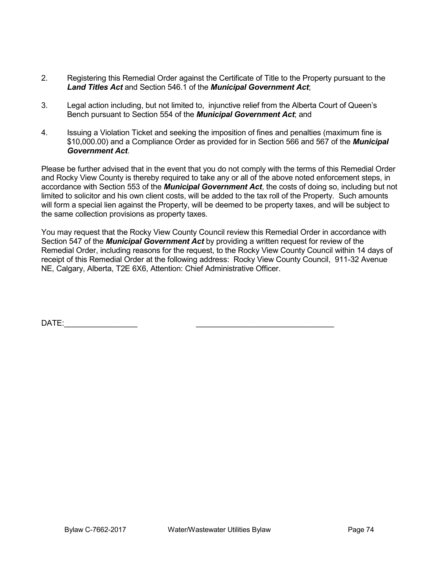- 2. Registering this Remedial Order against the Certificate of Title to the Property pursuant to the *Land Titles Act* and Section 546.1 of the *Municipal Government Act*;
- 3. Legal action including, but not limited to, injunctive relief from the Alberta Court of Queen's Bench pursuant to Section 554 of the *Municipal Government Act*; and
- 4. Issuing a Violation Ticket and seeking the imposition of fines and penalties (maximum fine is \$10,000.00) and a Compliance Order as provided for in Section 566 and 567 of the *Municipal Government Act*.

Please be further advised that in the event that you do not comply with the terms of this Remedial Order and Rocky View County is thereby required to take any or all of the above noted enforcement steps, in accordance with Section 553 of the *Municipal Government Act*, the costs of doing so, including but not limited to solicitor and his own client costs, will be added to the tax roll of the Property. Such amounts will form a special lien against the Property, will be deemed to be property taxes, and will be subject to the same collection provisions as property taxes.

You may request that the Rocky View County Council review this Remedial Order in accordance with Section 547 of the *Municipal Government Act* by providing a written request for review of the Remedial Order, including reasons for the request, to the Rocky View County Council within 14 days of receipt of this Remedial Order at the following address: Rocky View County Council, 911-32 Avenue NE, Calgary, Alberta, T2E 6X6, Attention: Chief Administrative Officer.

DATE:\_\_\_\_\_\_\_\_\_\_\_\_\_\_\_\_\_ \_\_\_\_\_\_\_\_\_\_\_\_\_\_\_\_\_\_\_\_\_\_\_\_\_\_\_\_\_\_\_\_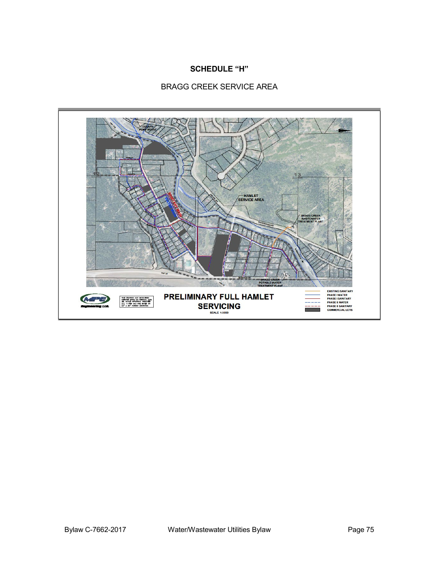## **SCHEDULE "H"**